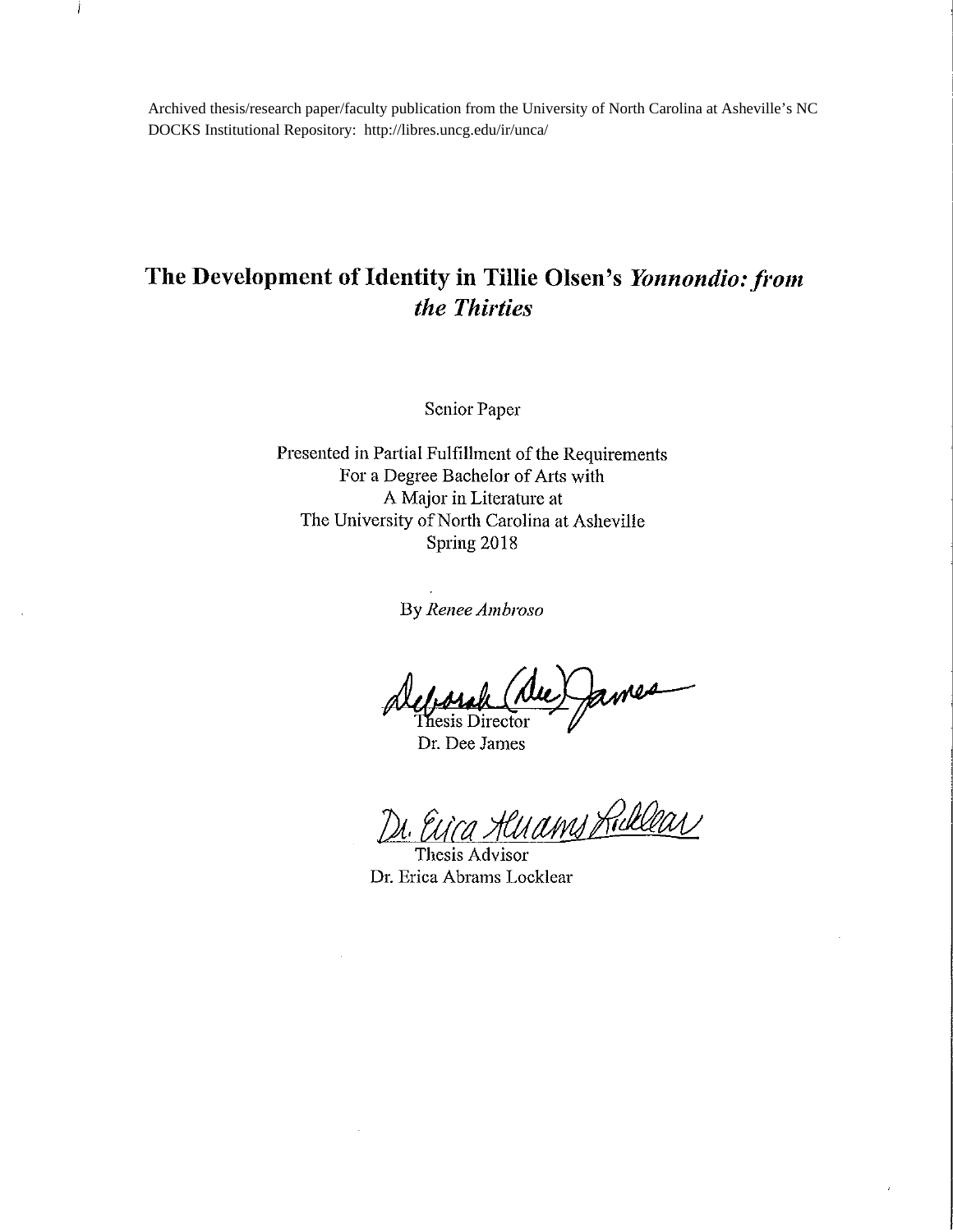Archived thesis/research paper/faculty publication from the University of North Carolina at Asheville's NC DOCKS Institutional Repository: http://libres.uncg.edu/ir/unca/

Ì

## The Development of Identity in Tillie Olsen's Yonnondio: from the Thirties

Senior Paper

Presented in Partial Fulfillment of the Requirements For a Degree Bachelor of Arts with A Major in Literature at The University of North Carolina at Asheville Spring 2018

By Renee Ambroso

fames Thesis Director

Dr. Dee James

<u>luams Ruklear</u>

Thesis Advisor Dr. Erica Abrams Locklear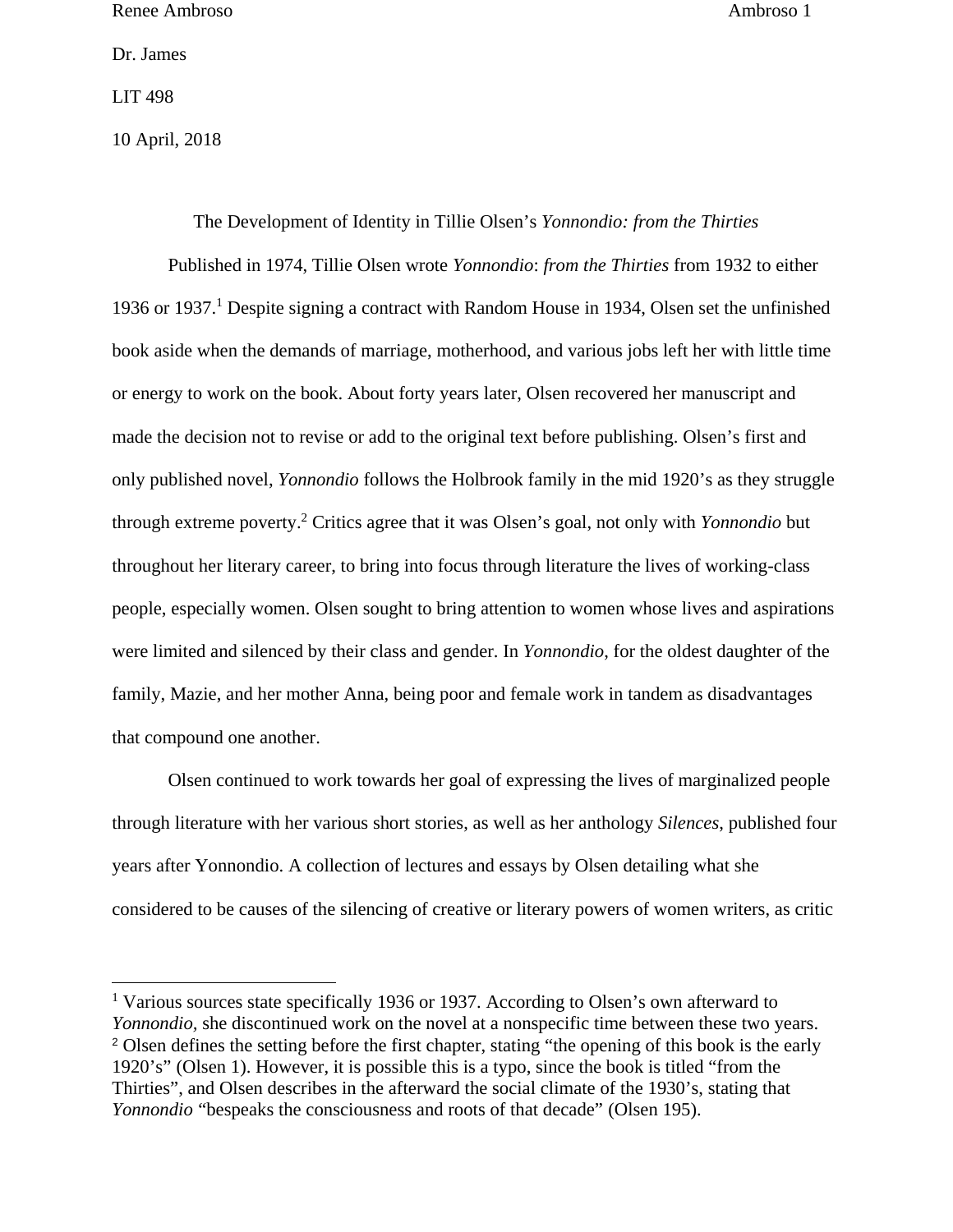Dr. James

LIT 498

 $\overline{a}$ 

10 April, 2018

The Development of Identity in Tillie Olsen's *Yonnondio: from the Thirties*  Published in 1974, Tillie Olsen wrote *Yonnondio*: *from the Thirties* from 1932 to either 1936 or 1937.<sup>1</sup> Despite signing a contract with Random House in 1934, Olsen set the unfinished book aside when the demands of marriage, motherhood, and various jobs left her with little time or energy to work on the book. About forty years later, Olsen recovered her manuscript and made the decision not to revise or add to the original text before publishing. Olsen's first and only published novel, *Yonnondio* follows the Holbrook family in the mid 1920's as they struggle through extreme poverty.2 Critics agree that it was Olsen's goal, not only with *Yonnondio* but throughout her literary career, to bring into focus through literature the lives of working-class people, especially women. Olsen sought to bring attention to women whose lives and aspirations were limited and silenced by their class and gender. In *Yonnondio*, for the oldest daughter of the family, Mazie, and her mother Anna, being poor and female work in tandem as disadvantages that compound one another.

 Olsen continued to work towards her goal of expressing the lives of marginalized people through literature with her various short stories, as well as her anthology *Silences*, published four years after Yonnondio. A collection of lectures and essays by Olsen detailing what she considered to be causes of the silencing of creative or literary powers of women writers, as critic

<sup>&</sup>lt;sup>1</sup> Various sources state specifically 1936 or 1937. According to Olsen's own afterward to *Yonnondio,* she discontinued work on the novel at a nonspecific time between these two years. <sup>2</sup> Olsen defines the setting before the first chapter, stating "the opening of this book is the early 1920's" (Olsen 1). However, it is possible this is a typo, since the book is titled "from the Thirties", and Olsen describes in the afterward the social climate of the 1930's, stating that *Yonnondio* "bespeaks the consciousness and roots of that decade" (Olsen 195).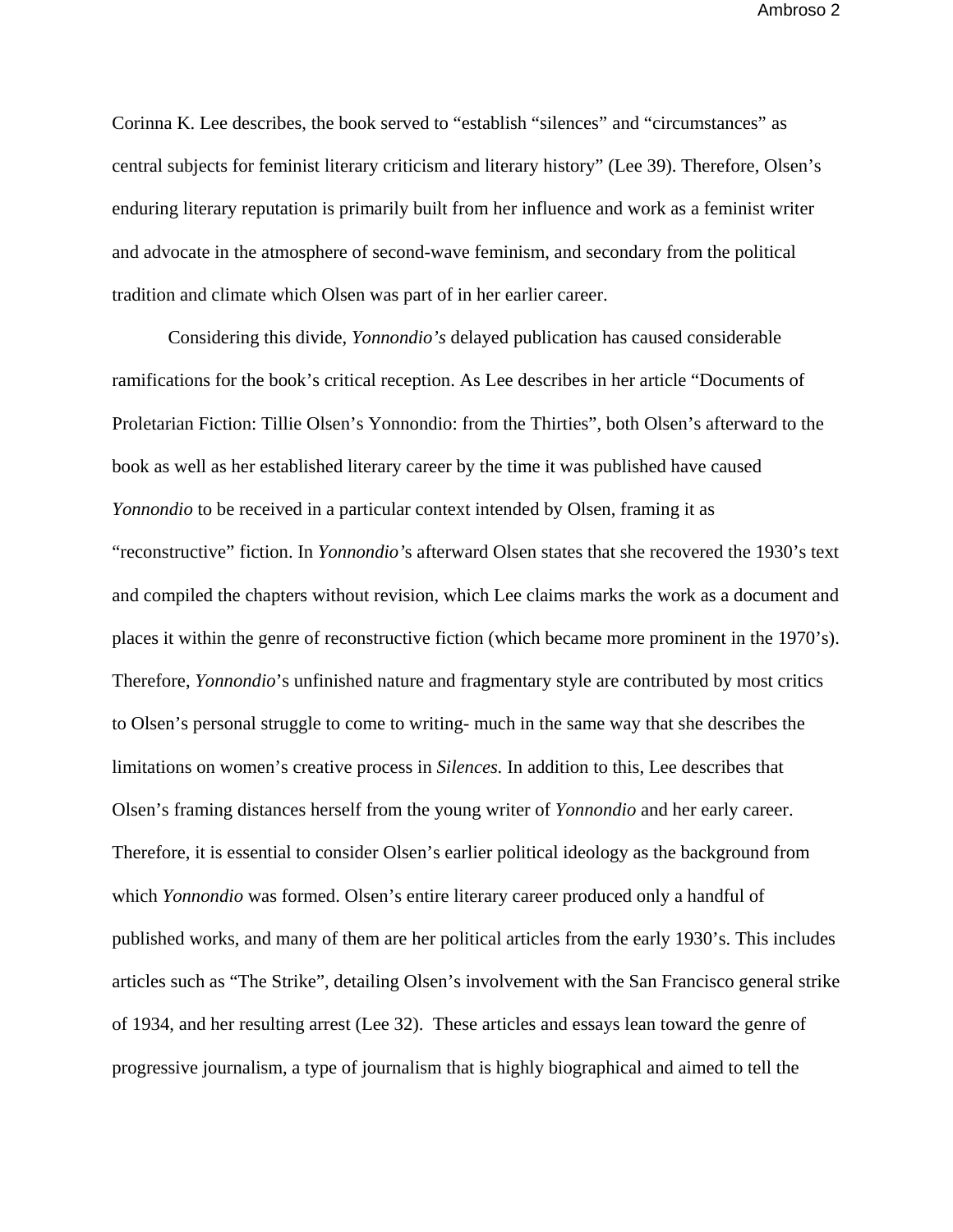Corinna K. Lee describes, the book served to "establish "silences" and "circumstances" as central subjects for feminist literary criticism and literary history" (Lee 39). Therefore, Olsen's enduring literary reputation is primarily built from her influence and work as a feminist writer and advocate in the atmosphere of second-wave feminism, and secondary from the political tradition and climate which Olsen was part of in her earlier career.

Considering this divide, *Yonnondio's* delayed publication has caused considerable ramifications for the book's critical reception. As Lee describes in her article "Documents of Proletarian Fiction: Tillie Olsen's Yonnondio: from the Thirties", both Olsen's afterward to the book as well as her established literary career by the time it was published have caused *Yonnondio* to be received in a particular context intended by Olsen, framing it as "reconstructive" fiction. In *Yonnondio'*s afterward Olsen states that she recovered the 1930's text and compiled the chapters without revision, which Lee claims marks the work as a document and places it within the genre of reconstructive fiction (which became more prominent in the 1970's). Therefore, *Yonnondio*'s unfinished nature and fragmentary style are contributed by most critics to Olsen's personal struggle to come to writing- much in the same way that she describes the limitations on women's creative process in *Silences.* In addition to this, Lee describes that Olsen's framing distances herself from the young writer of *Yonnondio* and her early career. Therefore, it is essential to consider Olsen's earlier political ideology as the background from which *Yonnondio* was formed. Olsen's entire literary career produced only a handful of published works, and many of them are her political articles from the early 1930's. This includes articles such as "The Strike", detailing Olsen's involvement with the San Francisco general strike of 1934, and her resulting arrest (Lee 32). These articles and essays lean toward the genre of progressive journalism, a type of journalism that is highly biographical and aimed to tell the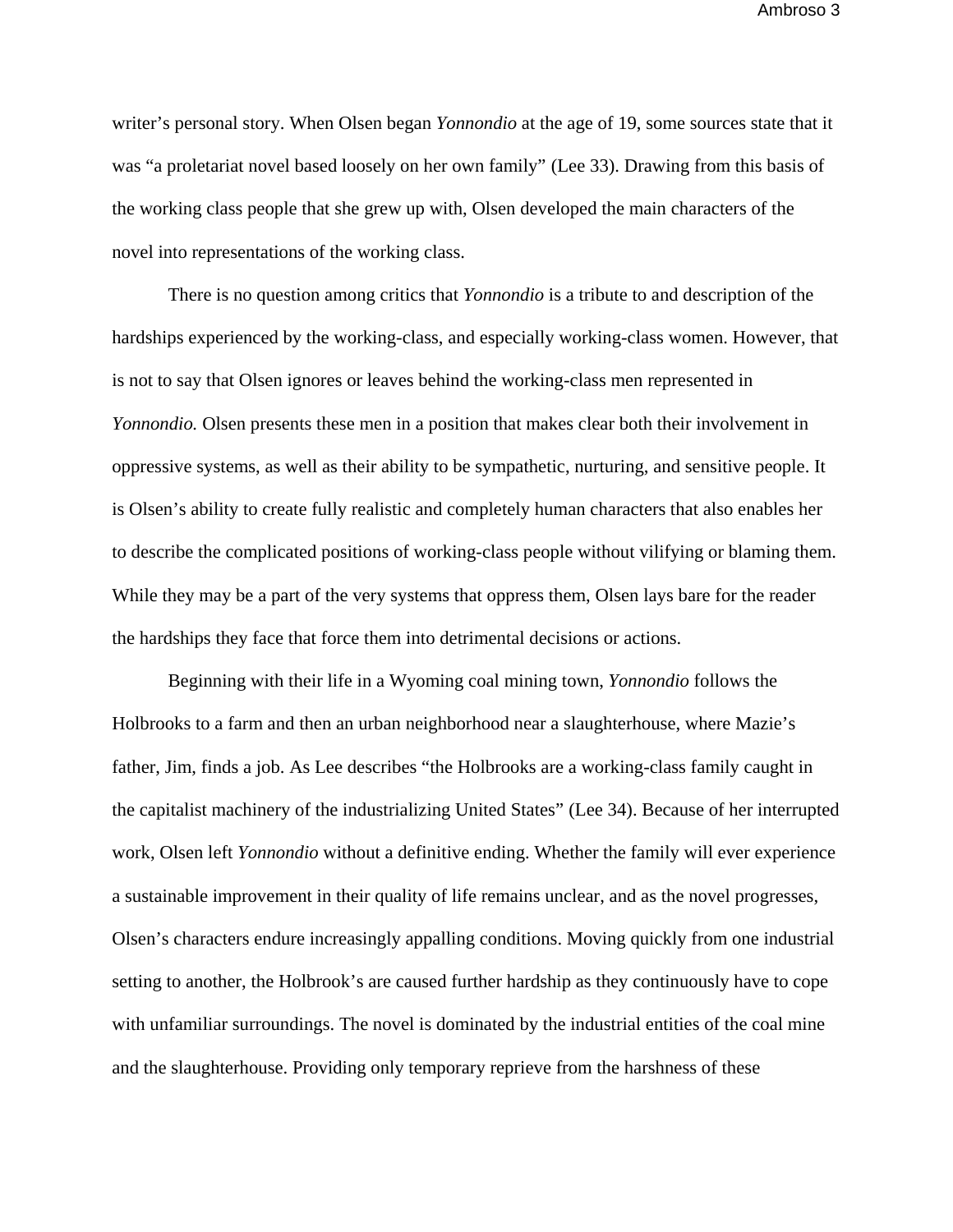writer's personal story. When Olsen began *Yonnondio* at the age of 19, some sources state that it was "a proletariat novel based loosely on her own family" (Lee 33). Drawing from this basis of the working class people that she grew up with, Olsen developed the main characters of the novel into representations of the working class.

There is no question among critics that *Yonnondio* is a tribute to and description of the hardships experienced by the working-class, and especially working-class women. However, that is not to say that Olsen ignores or leaves behind the working-class men represented in *Yonnondio.* Olsen presents these men in a position that makes clear both their involvement in oppressive systems, as well as their ability to be sympathetic, nurturing, and sensitive people. It is Olsen's ability to create fully realistic and completely human characters that also enables her to describe the complicated positions of working-class people without vilifying or blaming them. While they may be a part of the very systems that oppress them, Olsen lays bare for the reader the hardships they face that force them into detrimental decisions or actions.

Beginning with their life in a Wyoming coal mining town, *Yonnondio* follows the Holbrooks to a farm and then an urban neighborhood near a slaughterhouse, where Mazie's father, Jim, finds a job. As Lee describes "the Holbrooks are a working-class family caught in the capitalist machinery of the industrializing United States" (Lee 34). Because of her interrupted work, Olsen left *Yonnondio* without a definitive ending. Whether the family will ever experience a sustainable improvement in their quality of life remains unclear, and as the novel progresses, Olsen's characters endure increasingly appalling conditions. Moving quickly from one industrial setting to another, the Holbrook's are caused further hardship as they continuously have to cope with unfamiliar surroundings. The novel is dominated by the industrial entities of the coal mine and the slaughterhouse. Providing only temporary reprieve from the harshness of these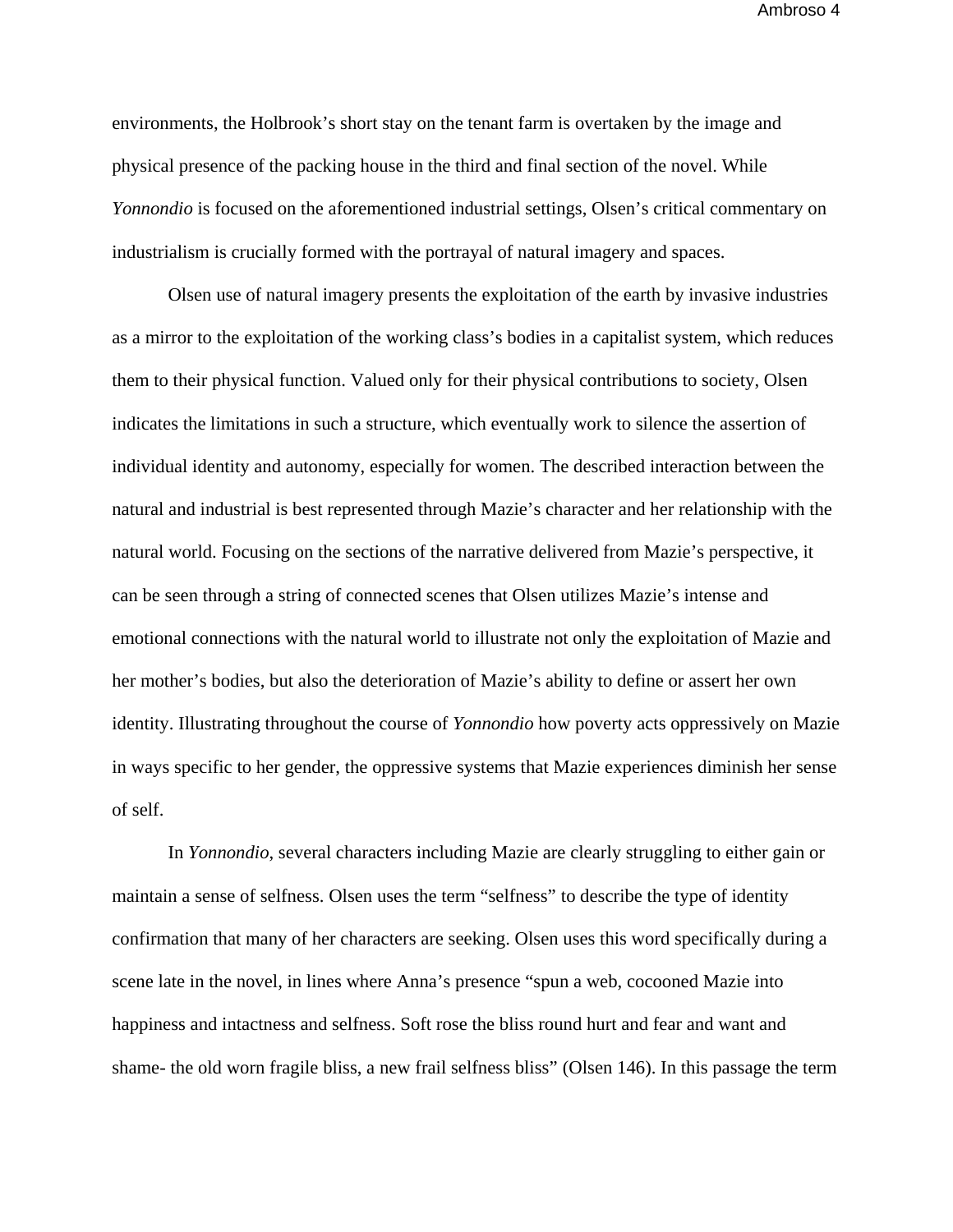environments, the Holbrook's short stay on the tenant farm is overtaken by the image and physical presence of the packing house in the third and final section of the novel. While *Yonnondio* is focused on the aforementioned industrial settings, Olsen's critical commentary on industrialism is crucially formed with the portrayal of natural imagery and spaces.

Olsen use of natural imagery presents the exploitation of the earth by invasive industries as a mirror to the exploitation of the working class's bodies in a capitalist system, which reduces them to their physical function. Valued only for their physical contributions to society, Olsen indicates the limitations in such a structure, which eventually work to silence the assertion of individual identity and autonomy, especially for women. The described interaction between the natural and industrial is best represented through Mazie's character and her relationship with the natural world. Focusing on the sections of the narrative delivered from Mazie's perspective, it can be seen through a string of connected scenes that Olsen utilizes Mazie's intense and emotional connections with the natural world to illustrate not only the exploitation of Mazie and her mother's bodies, but also the deterioration of Mazie's ability to define or assert her own identity. Illustrating throughout the course of *Yonnondio* how poverty acts oppressively on Mazie in ways specific to her gender, the oppressive systems that Mazie experiences diminish her sense of self.

In *Yonnondio*, several characters including Mazie are clearly struggling to either gain or maintain a sense of selfness. Olsen uses the term "selfness" to describe the type of identity confirmation that many of her characters are seeking. Olsen uses this word specifically during a scene late in the novel, in lines where Anna's presence "spun a web, cocooned Mazie into happiness and intactness and selfness. Soft rose the bliss round hurt and fear and want and shame- the old worn fragile bliss, a new frail selfness bliss" (Olsen 146). In this passage the term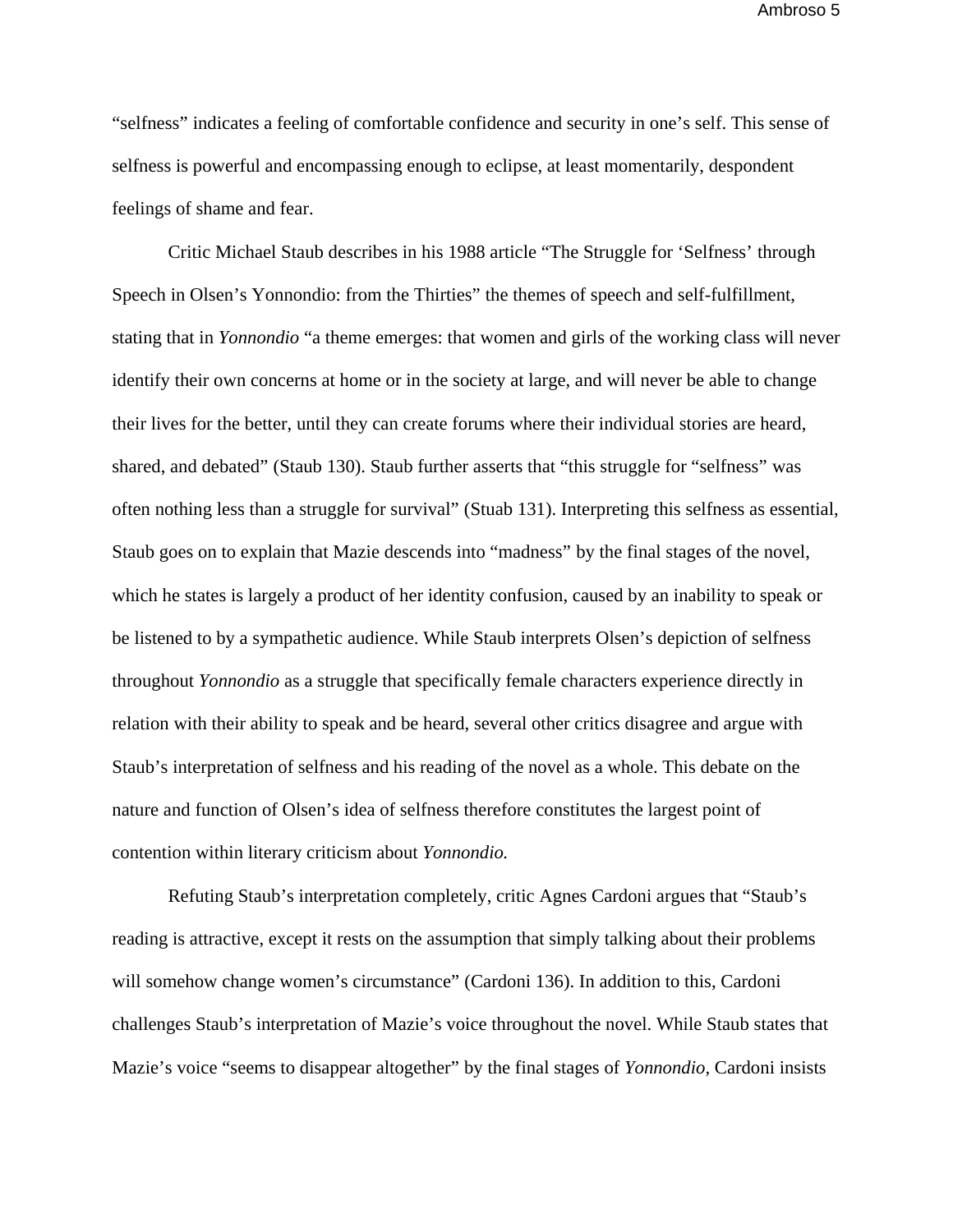"selfness" indicates a feeling of comfortable confidence and security in one's self. This sense of selfness is powerful and encompassing enough to eclipse, at least momentarily, despondent feelings of shame and fear.

Critic Michael Staub describes in his 1988 article "The Struggle for 'Selfness' through Speech in Olsen's Yonnondio: from the Thirties" the themes of speech and self-fulfillment, stating that in *Yonnondio* "a theme emerges: that women and girls of the working class will never identify their own concerns at home or in the society at large, and will never be able to change their lives for the better, until they can create forums where their individual stories are heard, shared, and debated" (Staub 130). Staub further asserts that "this struggle for "selfness" was often nothing less than a struggle for survival" (Stuab 131). Interpreting this selfness as essential, Staub goes on to explain that Mazie descends into "madness" by the final stages of the novel, which he states is largely a product of her identity confusion, caused by an inability to speak or be listened to by a sympathetic audience. While Staub interprets Olsen's depiction of selfness throughout *Yonnondio* as a struggle that specifically female characters experience directly in relation with their ability to speak and be heard, several other critics disagree and argue with Staub's interpretation of selfness and his reading of the novel as a whole. This debate on the nature and function of Olsen's idea of selfness therefore constitutes the largest point of contention within literary criticism about *Yonnondio.* 

Refuting Staub's interpretation completely, critic Agnes Cardoni argues that "Staub's reading is attractive, except it rests on the assumption that simply talking about their problems will somehow change women's circumstance" (Cardoni 136). In addition to this, Cardoni challenges Staub's interpretation of Mazie's voice throughout the novel. While Staub states that Mazie's voice "seems to disappear altogether" by the final stages of *Yonnondio,* Cardoni insists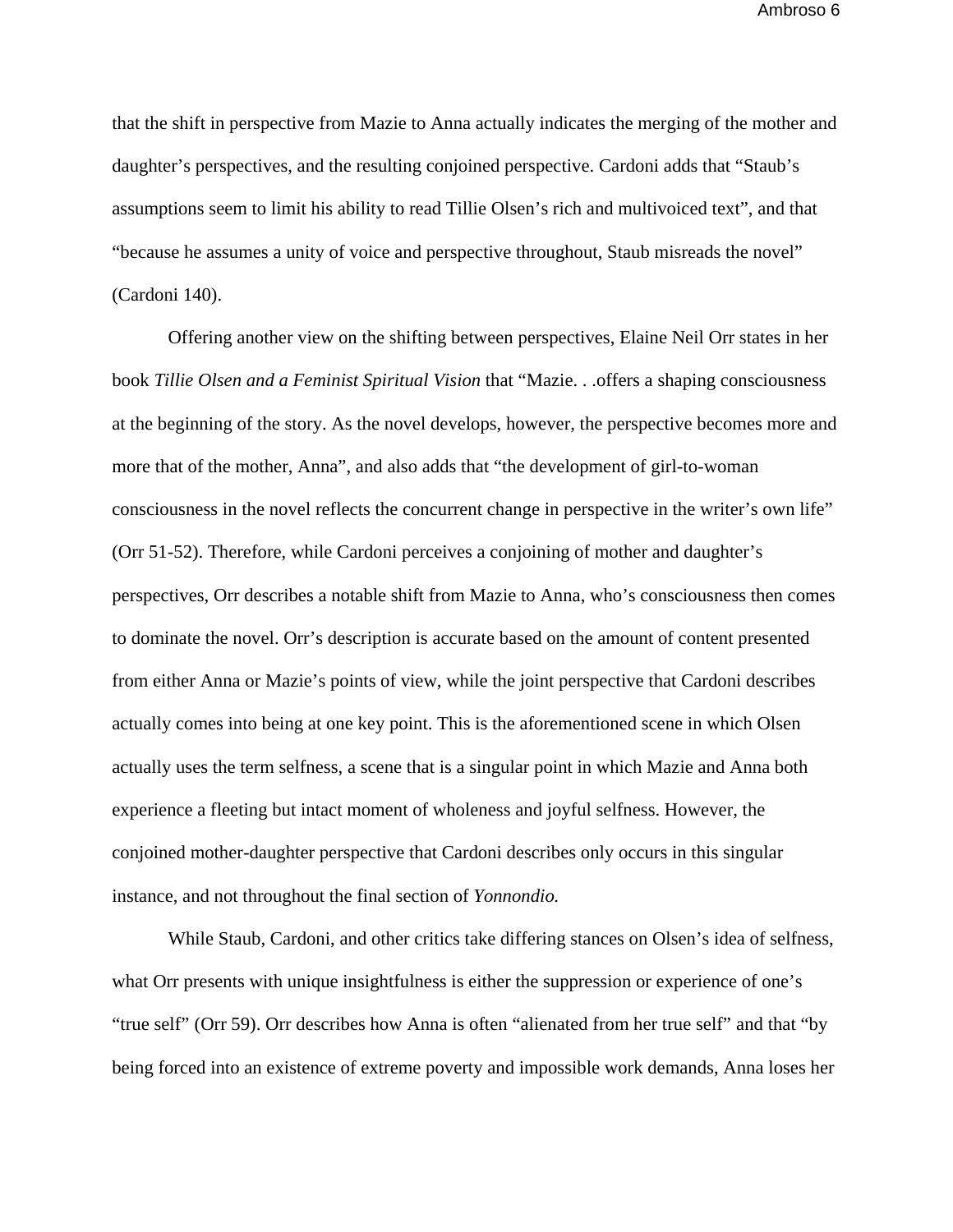that the shift in perspective from Mazie to Anna actually indicates the merging of the mother and daughter's perspectives, and the resulting conjoined perspective. Cardoni adds that "Staub's assumptions seem to limit his ability to read Tillie Olsen's rich and multivoiced text", and that "because he assumes a unity of voice and perspective throughout, Staub misreads the novel" (Cardoni 140).

Offering another view on the shifting between perspectives, Elaine Neil Orr states in her book *Tillie Olsen and a Feminist Spiritual Vision* that "Mazie. . .offers a shaping consciousness at the beginning of the story. As the novel develops, however, the perspective becomes more and more that of the mother, Anna", and also adds that "the development of girl-to-woman consciousness in the novel reflects the concurrent change in perspective in the writer's own life" (Orr 51-52). Therefore, while Cardoni perceives a conjoining of mother and daughter's perspectives, Orr describes a notable shift from Mazie to Anna, who's consciousness then comes to dominate the novel. Orr's description is accurate based on the amount of content presented from either Anna or Mazie's points of view, while the joint perspective that Cardoni describes actually comes into being at one key point. This is the aforementioned scene in which Olsen actually uses the term selfness, a scene that is a singular point in which Mazie and Anna both experience a fleeting but intact moment of wholeness and joyful selfness. However, the conjoined mother-daughter perspective that Cardoni describes only occurs in this singular instance, and not throughout the final section of *Yonnondio.* 

While Staub, Cardoni, and other critics take differing stances on Olsen's idea of selfness, what Orr presents with unique insightfulness is either the suppression or experience of one's "true self" (Orr 59). Orr describes how Anna is often "alienated from her true self" and that "by being forced into an existence of extreme poverty and impossible work demands, Anna loses her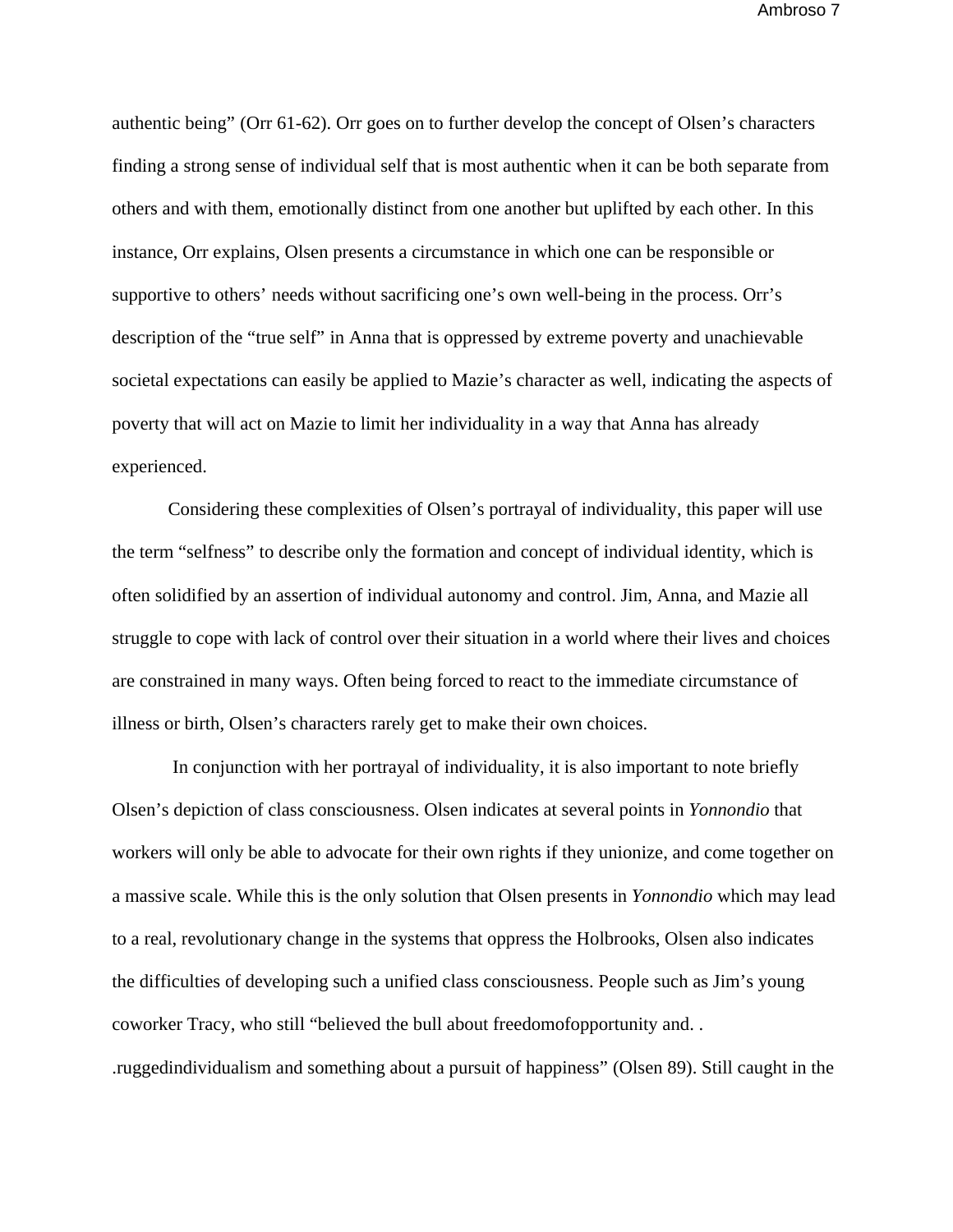authentic being" (Orr 61-62). Orr goes on to further develop the concept of Olsen's characters finding a strong sense of individual self that is most authentic when it can be both separate from others and with them, emotionally distinct from one another but uplifted by each other. In this instance, Orr explains, Olsen presents a circumstance in which one can be responsible or supportive to others' needs without sacrificing one's own well-being in the process. Orr's description of the "true self" in Anna that is oppressed by extreme poverty and unachievable societal expectations can easily be applied to Mazie's character as well, indicating the aspects of poverty that will act on Mazie to limit her individuality in a way that Anna has already experienced.

Considering these complexities of Olsen's portrayal of individuality, this paper will use the term "selfness" to describe only the formation and concept of individual identity, which is often solidified by an assertion of individual autonomy and control. Jim, Anna, and Mazie all struggle to cope with lack of control over their situation in a world where their lives and choices are constrained in many ways. Often being forced to react to the immediate circumstance of illness or birth, Olsen's characters rarely get to make their own choices.

 In conjunction with her portrayal of individuality, it is also important to note briefly Olsen's depiction of class consciousness. Olsen indicates at several points in *Yonnondio* that workers will only be able to advocate for their own rights if they unionize, and come together on a massive scale. While this is the only solution that Olsen presents in *Yonnondio* which may lead to a real, revolutionary change in the systems that oppress the Holbrooks, Olsen also indicates the difficulties of developing such a unified class consciousness. People such as Jim's young coworker Tracy, who still "believed the bull about freedomofopportunity and. . .ruggedindividualism and something about a pursuit of happiness" (Olsen 89). Still caught in the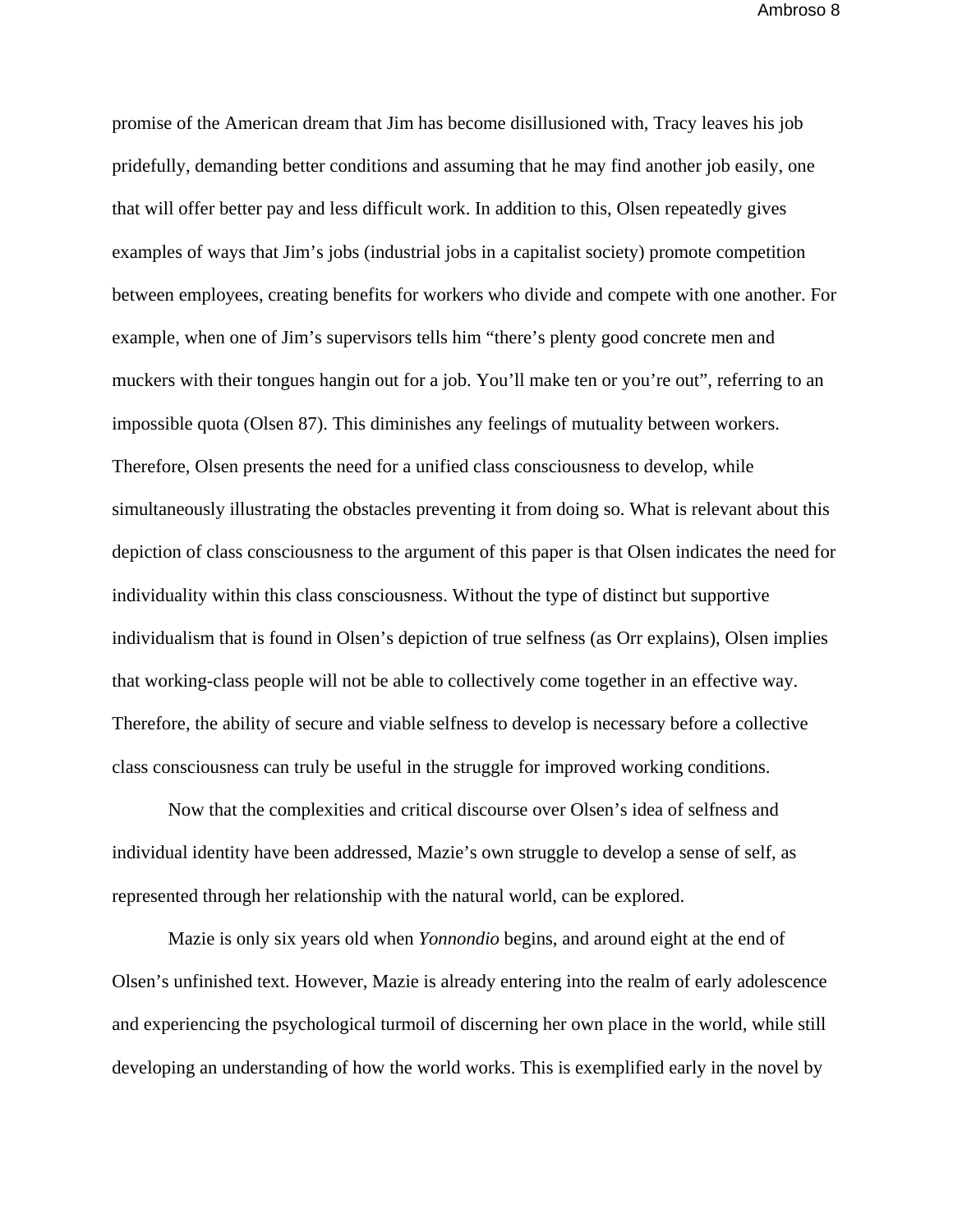promise of the American dream that Jim has become disillusioned with, Tracy leaves his job pridefully, demanding better conditions and assuming that he may find another job easily, one that will offer better pay and less difficult work. In addition to this, Olsen repeatedly gives examples of ways that Jim's jobs (industrial jobs in a capitalist society) promote competition between employees, creating benefits for workers who divide and compete with one another. For example, when one of Jim's supervisors tells him "there's plenty good concrete men and muckers with their tongues hangin out for a job. You'll make ten or you're out", referring to an impossible quota (Olsen 87). This diminishes any feelings of mutuality between workers. Therefore, Olsen presents the need for a unified class consciousness to develop, while simultaneously illustrating the obstacles preventing it from doing so. What is relevant about this depiction of class consciousness to the argument of this paper is that Olsen indicates the need for individuality within this class consciousness. Without the type of distinct but supportive individualism that is found in Olsen's depiction of true selfness (as Orr explains), Olsen implies that working-class people will not be able to collectively come together in an effective way. Therefore, the ability of secure and viable selfness to develop is necessary before a collective class consciousness can truly be useful in the struggle for improved working conditions.

Now that the complexities and critical discourse over Olsen's idea of selfness and individual identity have been addressed, Mazie's own struggle to develop a sense of self, as represented through her relationship with the natural world, can be explored.

 Mazie is only six years old when *Yonnondio* begins, and around eight at the end of Olsen's unfinished text. However, Mazie is already entering into the realm of early adolescence and experiencing the psychological turmoil of discerning her own place in the world, while still developing an understanding of how the world works. This is exemplified early in the novel by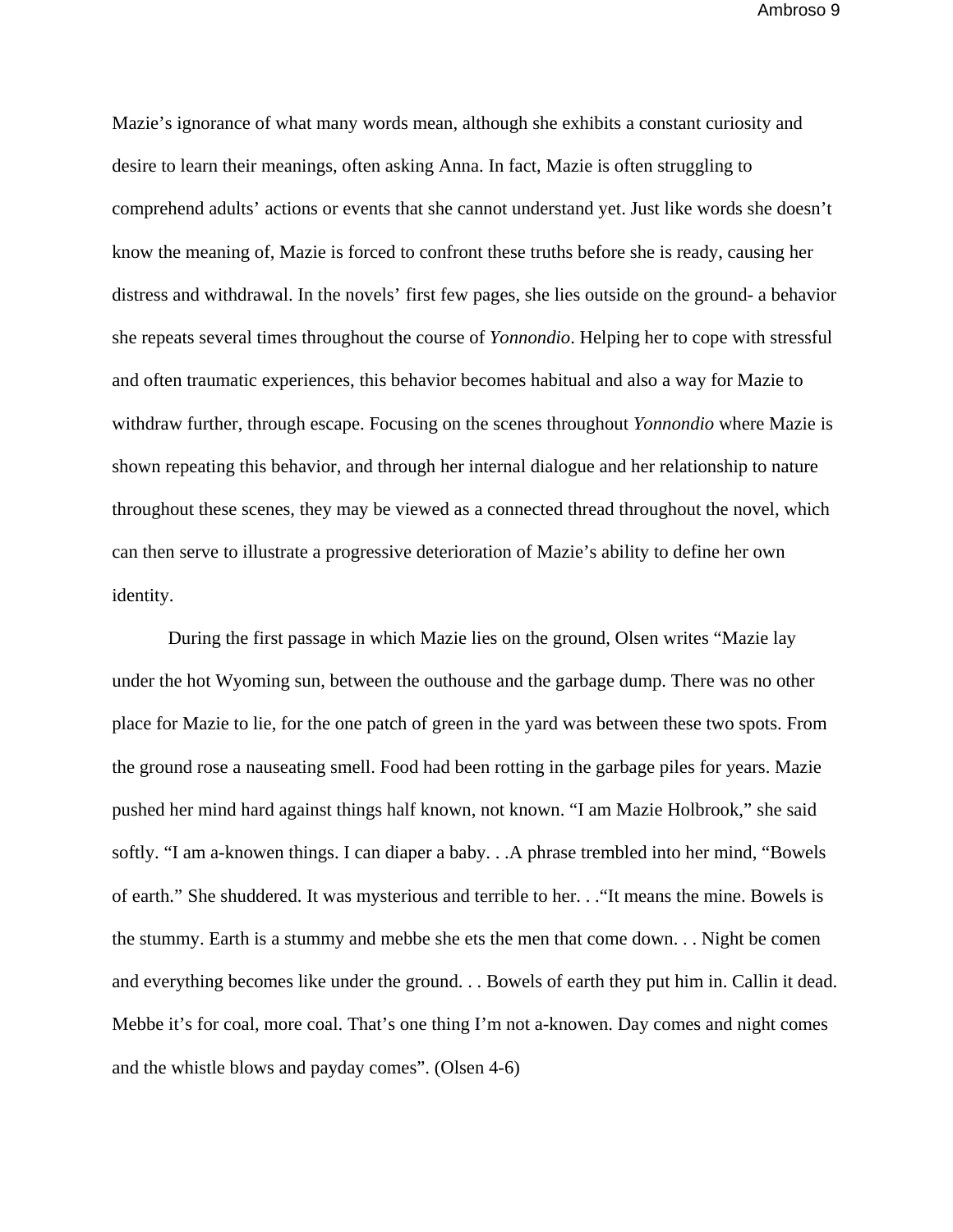Mazie's ignorance of what many words mean, although she exhibits a constant curiosity and desire to learn their meanings, often asking Anna. In fact, Mazie is often struggling to comprehend adults' actions or events that she cannot understand yet. Just like words she doesn't know the meaning of, Mazie is forced to confront these truths before she is ready, causing her distress and withdrawal. In the novels' first few pages, she lies outside on the ground- a behavior she repeats several times throughout the course of *Yonnondio*. Helping her to cope with stressful and often traumatic experiences, this behavior becomes habitual and also a way for Mazie to withdraw further, through escape. Focusing on the scenes throughout *Yonnondio* where Mazie is shown repeating this behavior, and through her internal dialogue and her relationship to nature throughout these scenes, they may be viewed as a connected thread throughout the novel, which can then serve to illustrate a progressive deterioration of Mazie's ability to define her own identity.

 During the first passage in which Mazie lies on the ground, Olsen writes "Mazie lay under the hot Wyoming sun, between the outhouse and the garbage dump. There was no other place for Mazie to lie, for the one patch of green in the yard was between these two spots. From the ground rose a nauseating smell. Food had been rotting in the garbage piles for years. Mazie pushed her mind hard against things half known, not known. "I am Mazie Holbrook," she said softly. "I am a-knowen things. I can diaper a baby. . .A phrase trembled into her mind, "Bowels of earth." She shuddered. It was mysterious and terrible to her. . ."It means the mine. Bowels is the stummy. Earth is a stummy and mebbe she ets the men that come down. . . Night be comen and everything becomes like under the ground. . . Bowels of earth they put him in. Callin it dead. Mebbe it's for coal, more coal. That's one thing I'm not a-knowen. Day comes and night comes and the whistle blows and payday comes". (Olsen 4-6)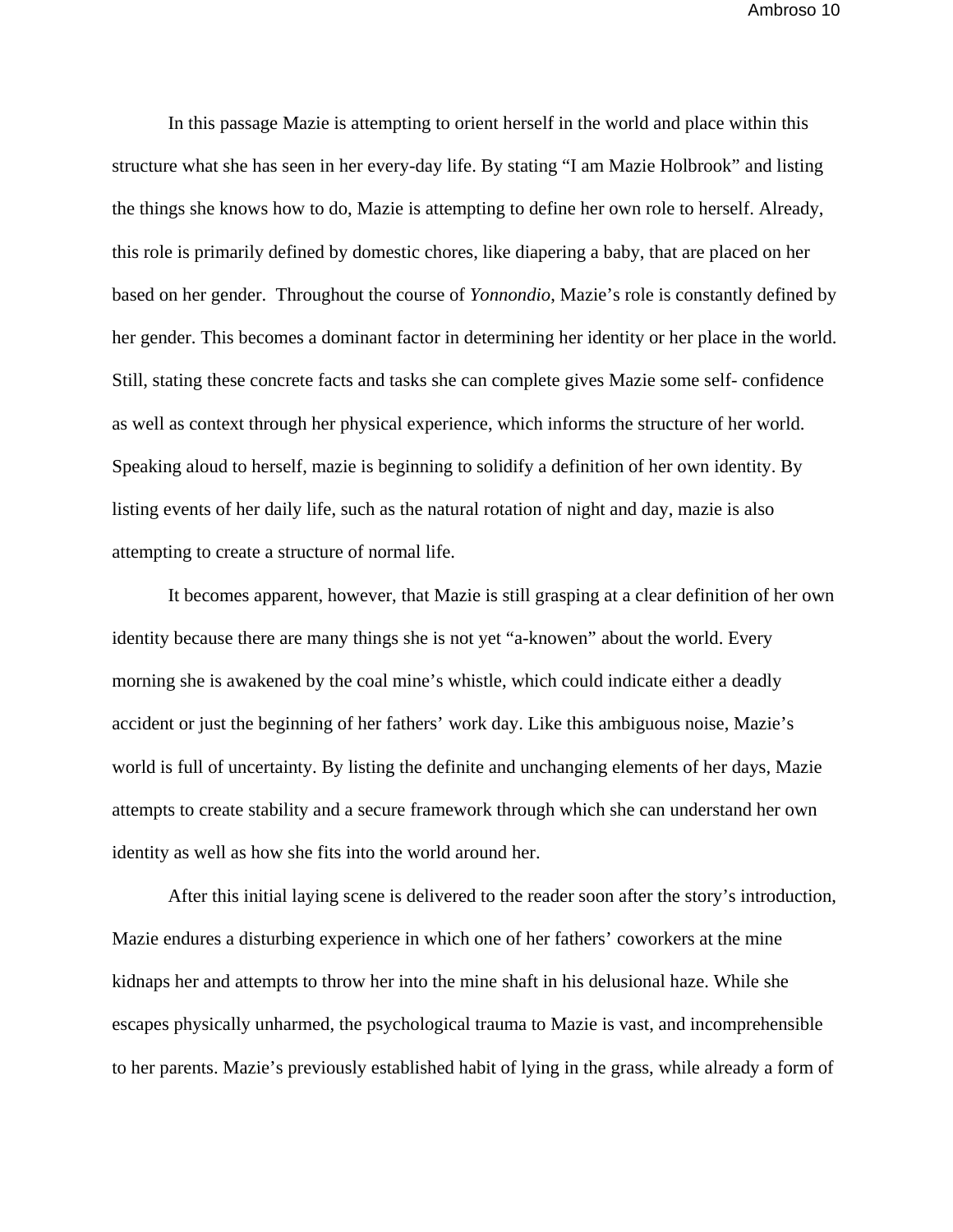In this passage Mazie is attempting to orient herself in the world and place within this structure what she has seen in her every-day life. By stating "I am Mazie Holbrook" and listing the things she knows how to do, Mazie is attempting to define her own role to herself. Already, this role is primarily defined by domestic chores, like diapering a baby, that are placed on her based on her gender. Throughout the course of *Yonnondio*, Mazie's role is constantly defined by her gender. This becomes a dominant factor in determining her identity or her place in the world. Still, stating these concrete facts and tasks she can complete gives Mazie some self- confidence as well as context through her physical experience, which informs the structure of her world. Speaking aloud to herself, mazie is beginning to solidify a definition of her own identity. By listing events of her daily life, such as the natural rotation of night and day, mazie is also attempting to create a structure of normal life.

It becomes apparent, however, that Mazie is still grasping at a clear definition of her own identity because there are many things she is not yet "a-knowen" about the world. Every morning she is awakened by the coal mine's whistle, which could indicate either a deadly accident or just the beginning of her fathers' work day. Like this ambiguous noise, Mazie's world is full of uncertainty. By listing the definite and unchanging elements of her days, Mazie attempts to create stability and a secure framework through which she can understand her own identity as well as how she fits into the world around her.

 After this initial laying scene is delivered to the reader soon after the story's introduction, Mazie endures a disturbing experience in which one of her fathers' coworkers at the mine kidnaps her and attempts to throw her into the mine shaft in his delusional haze. While she escapes physically unharmed, the psychological trauma to Mazie is vast, and incomprehensible to her parents. Mazie's previously established habit of lying in the grass, while already a form of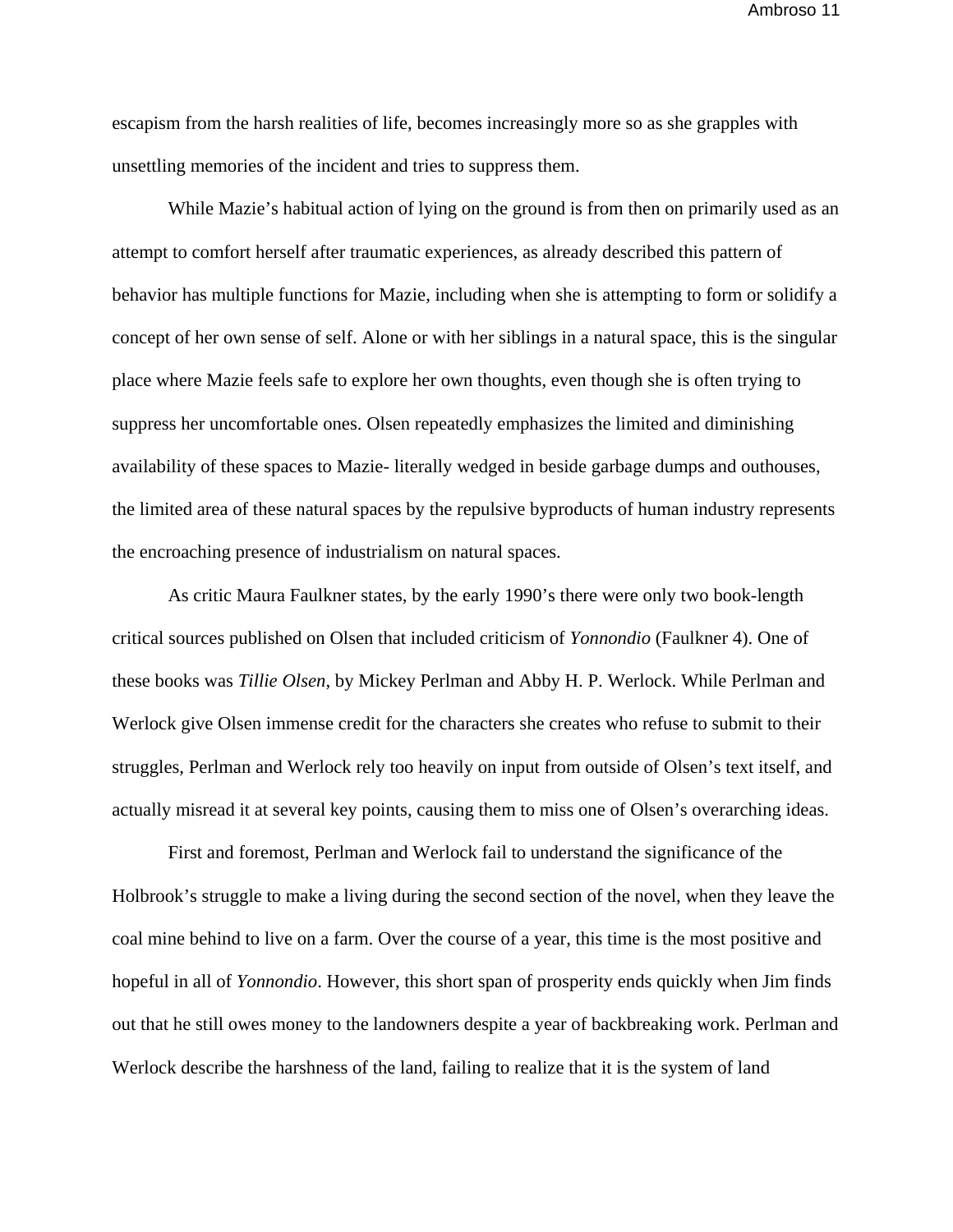escapism from the harsh realities of life, becomes increasingly more so as she grapples with unsettling memories of the incident and tries to suppress them.

 While Mazie's habitual action of lying on the ground is from then on primarily used as an attempt to comfort herself after traumatic experiences, as already described this pattern of behavior has multiple functions for Mazie, including when she is attempting to form or solidify a concept of her own sense of self. Alone or with her siblings in a natural space, this is the singular place where Mazie feels safe to explore her own thoughts, even though she is often trying to suppress her uncomfortable ones. Olsen repeatedly emphasizes the limited and diminishing availability of these spaces to Mazie- literally wedged in beside garbage dumps and outhouses, the limited area of these natural spaces by the repulsive byproducts of human industry represents the encroaching presence of industrialism on natural spaces.

 As critic Maura Faulkner states, by the early 1990's there were only two book-length critical sources published on Olsen that included criticism of *Yonnondio* (Faulkner 4). One of these books was *Tillie Olsen,* by Mickey Perlman and Abby H. P. Werlock. While Perlman and Werlock give Olsen immense credit for the characters she creates who refuse to submit to their struggles, Perlman and Werlock rely too heavily on input from outside of Olsen's text itself, and actually misread it at several key points, causing them to miss one of Olsen's overarching ideas.

 First and foremost, Perlman and Werlock fail to understand the significance of the Holbrook's struggle to make a living during the second section of the novel, when they leave the coal mine behind to live on a farm. Over the course of a year, this time is the most positive and hopeful in all of *Yonnondio*. However, this short span of prosperity ends quickly when Jim finds out that he still owes money to the landowners despite a year of backbreaking work. Perlman and Werlock describe the harshness of the land, failing to realize that it is the system of land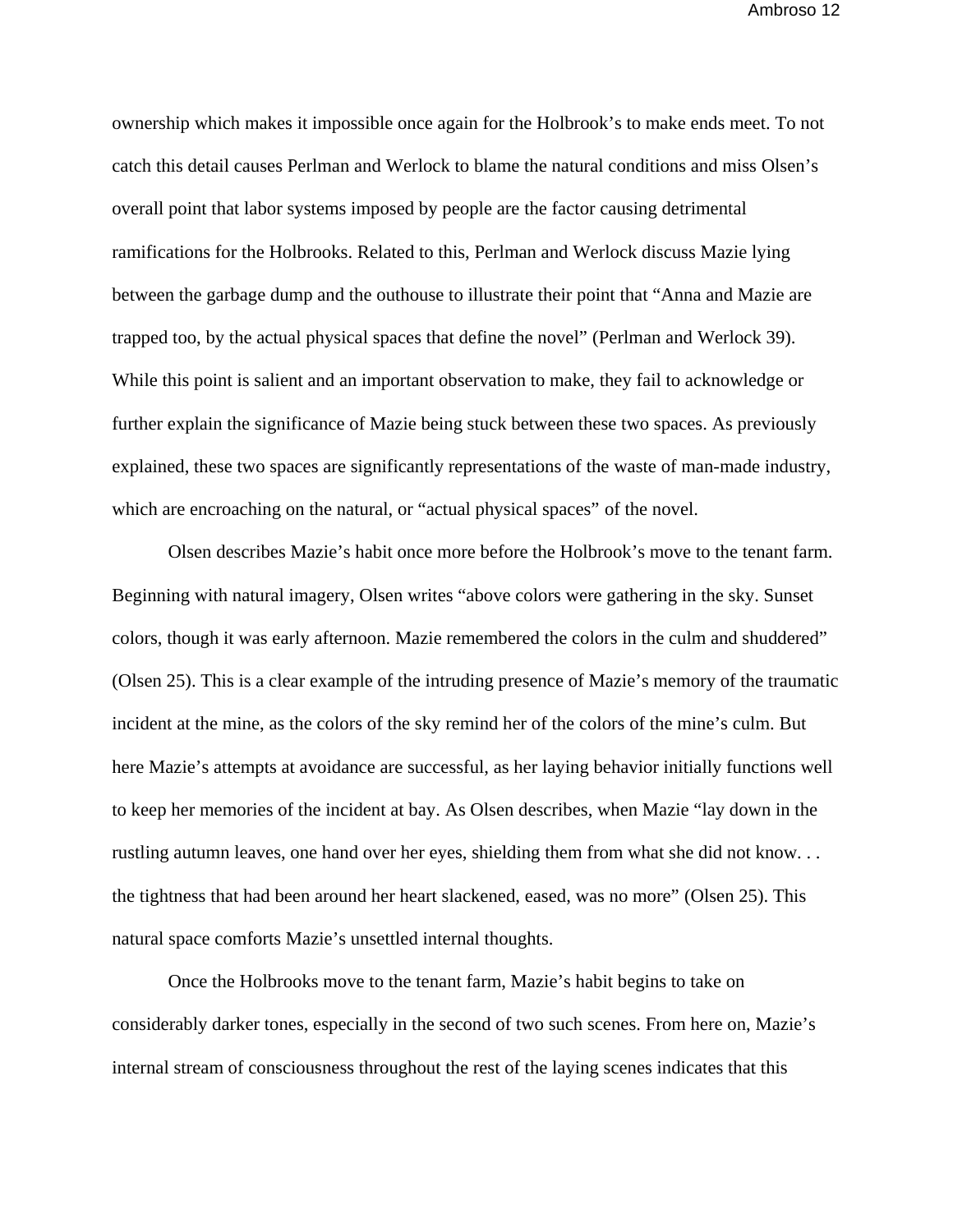ownership which makes it impossible once again for the Holbrook's to make ends meet. To not catch this detail causes Perlman and Werlock to blame the natural conditions and miss Olsen's overall point that labor systems imposed by people are the factor causing detrimental ramifications for the Holbrooks. Related to this, Perlman and Werlock discuss Mazie lying between the garbage dump and the outhouse to illustrate their point that "Anna and Mazie are trapped too, by the actual physical spaces that define the novel" (Perlman and Werlock 39). While this point is salient and an important observation to make, they fail to acknowledge or further explain the significance of Mazie being stuck between these two spaces. As previously explained, these two spaces are significantly representations of the waste of man-made industry, which are encroaching on the natural, or "actual physical spaces" of the novel.

 Olsen describes Mazie's habit once more before the Holbrook's move to the tenant farm. Beginning with natural imagery, Olsen writes "above colors were gathering in the sky. Sunset colors, though it was early afternoon. Mazie remembered the colors in the culm and shuddered" (Olsen 25). This is a clear example of the intruding presence of Mazie's memory of the traumatic incident at the mine, as the colors of the sky remind her of the colors of the mine's culm. But here Mazie's attempts at avoidance are successful, as her laying behavior initially functions well to keep her memories of the incident at bay. As Olsen describes, when Mazie "lay down in the rustling autumn leaves, one hand over her eyes, shielding them from what she did not know. . . the tightness that had been around her heart slackened, eased, was no more" (Olsen 25). This natural space comforts Mazie's unsettled internal thoughts.

Once the Holbrooks move to the tenant farm, Mazie's habit begins to take on considerably darker tones, especially in the second of two such scenes. From here on, Mazie's internal stream of consciousness throughout the rest of the laying scenes indicates that this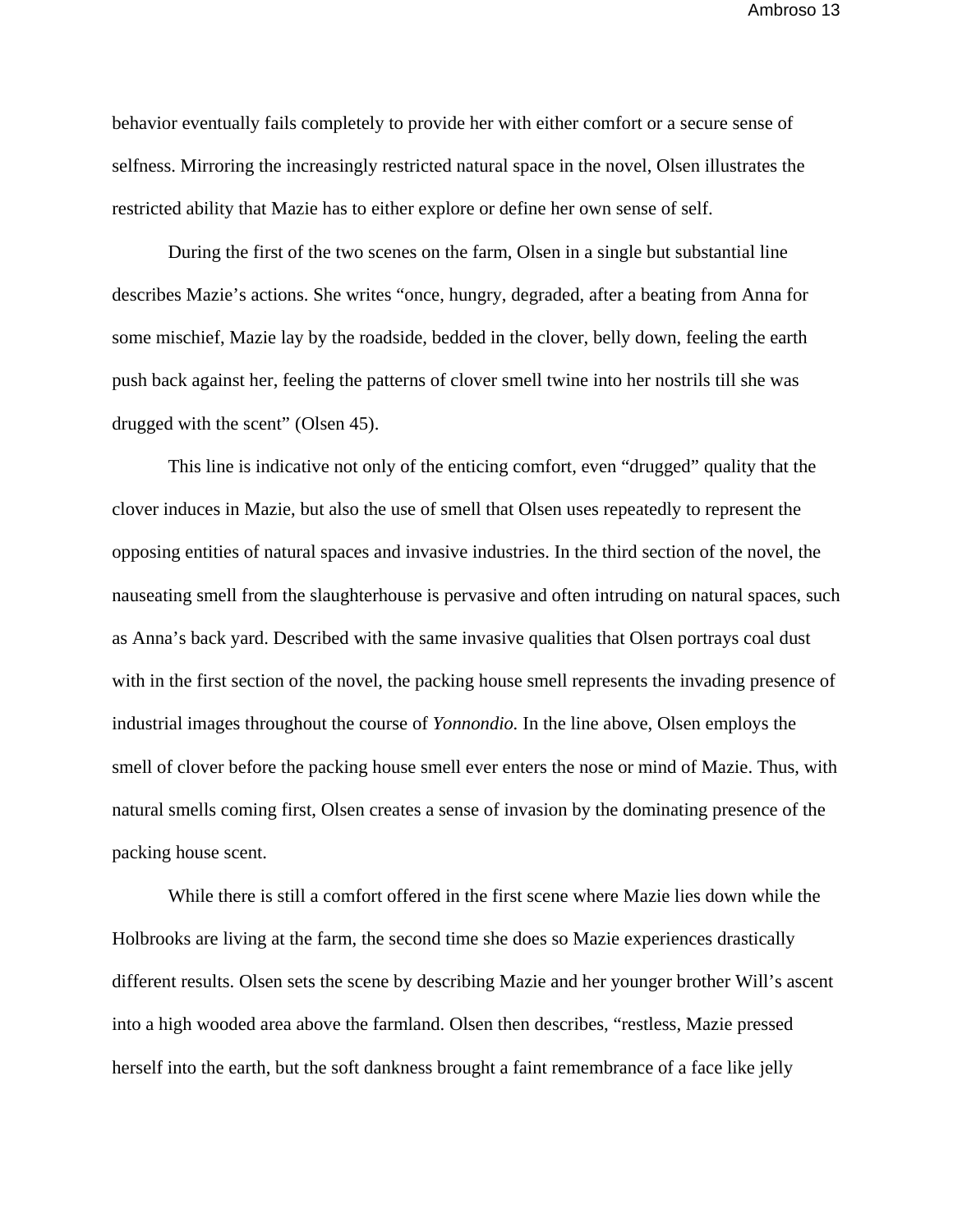behavior eventually fails completely to provide her with either comfort or a secure sense of selfness. Mirroring the increasingly restricted natural space in the novel, Olsen illustrates the restricted ability that Mazie has to either explore or define her own sense of self.

During the first of the two scenes on the farm, Olsen in a single but substantial line describes Mazie's actions. She writes "once, hungry, degraded, after a beating from Anna for some mischief, Mazie lay by the roadside, bedded in the clover, belly down, feeling the earth push back against her, feeling the patterns of clover smell twine into her nostrils till she was drugged with the scent" (Olsen 45).

 This line is indicative not only of the enticing comfort, even "drugged" quality that the clover induces in Mazie, but also the use of smell that Olsen uses repeatedly to represent the opposing entities of natural spaces and invasive industries. In the third section of the novel, the nauseating smell from the slaughterhouse is pervasive and often intruding on natural spaces, such as Anna's back yard. Described with the same invasive qualities that Olsen portrays coal dust with in the first section of the novel, the packing house smell represents the invading presence of industrial images throughout the course of *Yonnondio.* In the line above, Olsen employs the smell of clover before the packing house smell ever enters the nose or mind of Mazie. Thus, with natural smells coming first, Olsen creates a sense of invasion by the dominating presence of the packing house scent.

 While there is still a comfort offered in the first scene where Mazie lies down while the Holbrooks are living at the farm, the second time she does so Mazie experiences drastically different results. Olsen sets the scene by describing Mazie and her younger brother Will's ascent into a high wooded area above the farmland. Olsen then describes, "restless, Mazie pressed herself into the earth, but the soft dankness brought a faint remembrance of a face like jelly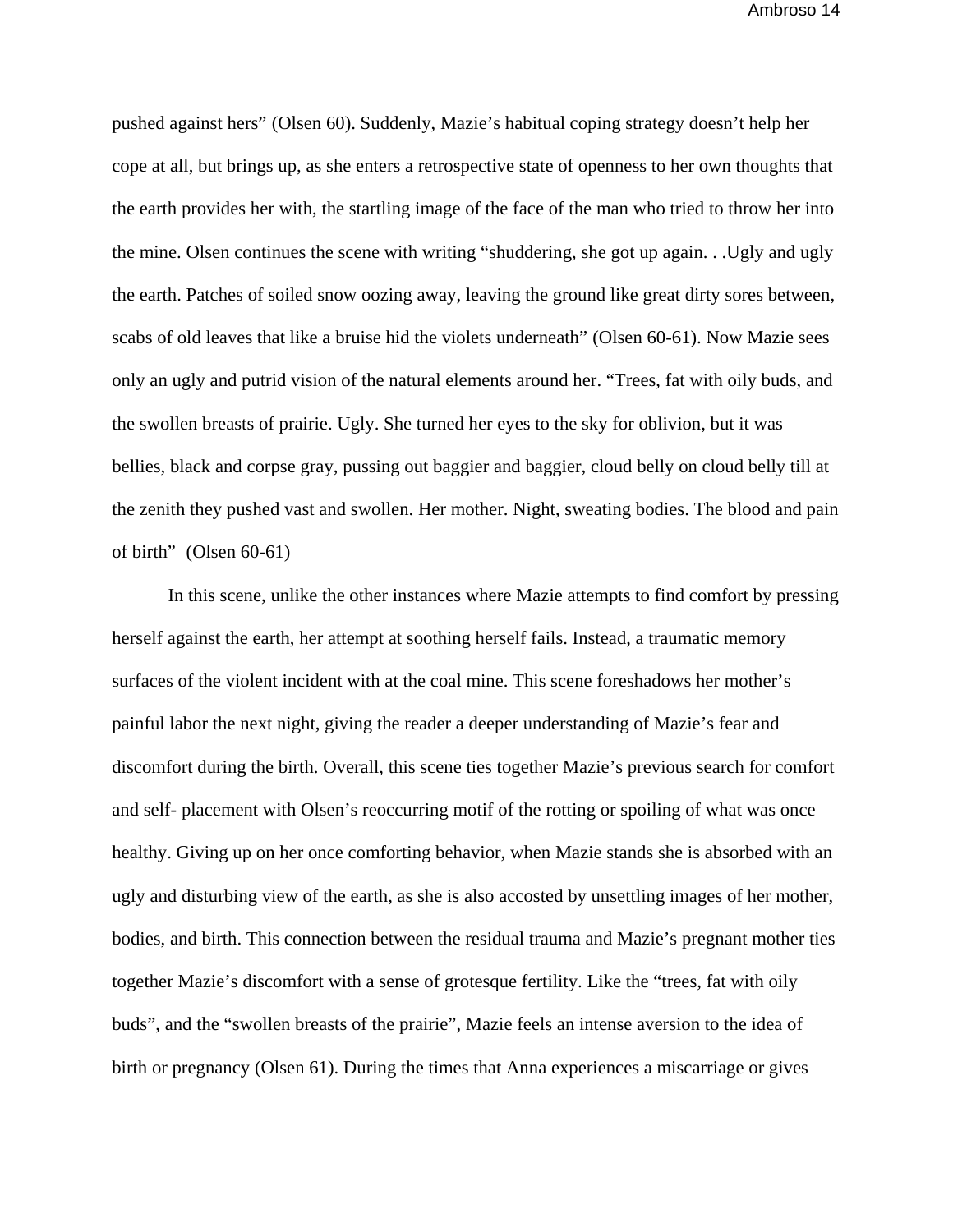pushed against hers" (Olsen 60). Suddenly, Mazie's habitual coping strategy doesn't help her cope at all, but brings up, as she enters a retrospective state of openness to her own thoughts that the earth provides her with, the startling image of the face of the man who tried to throw her into the mine. Olsen continues the scene with writing "shuddering, she got up again. . .Ugly and ugly the earth. Patches of soiled snow oozing away, leaving the ground like great dirty sores between, scabs of old leaves that like a bruise hid the violets underneath" (Olsen 60-61). Now Mazie sees only an ugly and putrid vision of the natural elements around her. "Trees, fat with oily buds, and the swollen breasts of prairie. Ugly. She turned her eyes to the sky for oblivion, but it was bellies, black and corpse gray, pussing out baggier and baggier, cloud belly on cloud belly till at the zenith they pushed vast and swollen. Her mother. Night, sweating bodies. The blood and pain of birth" (Olsen 60-61)

 In this scene, unlike the other instances where Mazie attempts to find comfort by pressing herself against the earth, her attempt at soothing herself fails. Instead, a traumatic memory surfaces of the violent incident with at the coal mine. This scene foreshadows her mother's painful labor the next night, giving the reader a deeper understanding of Mazie's fear and discomfort during the birth. Overall, this scene ties together Mazie's previous search for comfort and self- placement with Olsen's reoccurring motif of the rotting or spoiling of what was once healthy. Giving up on her once comforting behavior, when Mazie stands she is absorbed with an ugly and disturbing view of the earth, as she is also accosted by unsettling images of her mother, bodies, and birth. This connection between the residual trauma and Mazie's pregnant mother ties together Mazie's discomfort with a sense of grotesque fertility. Like the "trees, fat with oily buds", and the "swollen breasts of the prairie", Mazie feels an intense aversion to the idea of birth or pregnancy (Olsen 61). During the times that Anna experiences a miscarriage or gives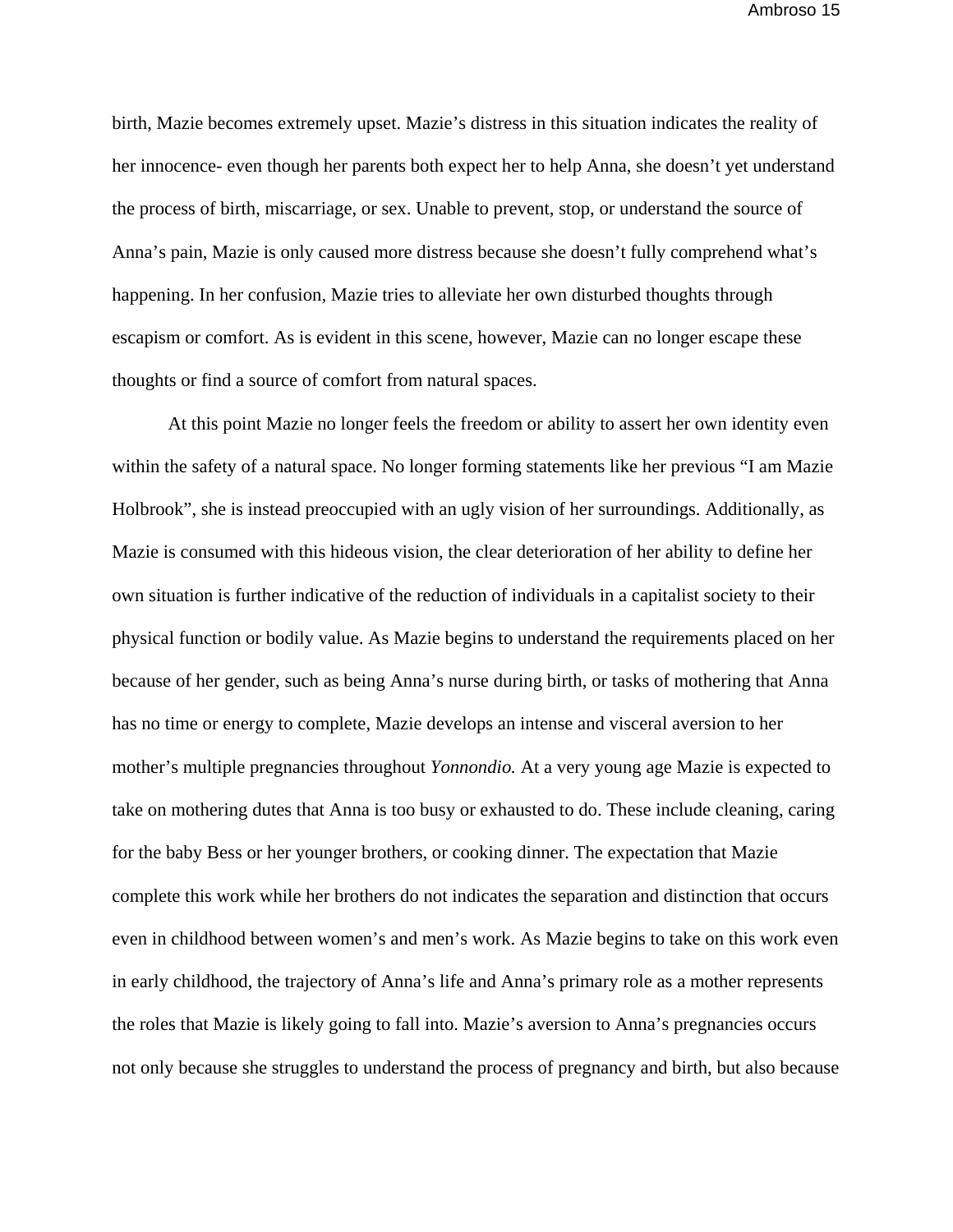birth, Mazie becomes extremely upset. Mazie's distress in this situation indicates the reality of her innocence- even though her parents both expect her to help Anna, she doesn't yet understand the process of birth, miscarriage, or sex. Unable to prevent, stop, or understand the source of Anna's pain, Mazie is only caused more distress because she doesn't fully comprehend what's happening. In her confusion, Mazie tries to alleviate her own disturbed thoughts through escapism or comfort. As is evident in this scene, however, Mazie can no longer escape these thoughts or find a source of comfort from natural spaces.

 At this point Mazie no longer feels the freedom or ability to assert her own identity even within the safety of a natural space. No longer forming statements like her previous "I am Mazie Holbrook", she is instead preoccupied with an ugly vision of her surroundings. Additionally, as Mazie is consumed with this hideous vision, the clear deterioration of her ability to define her own situation is further indicative of the reduction of individuals in a capitalist society to their physical function or bodily value. As Mazie begins to understand the requirements placed on her because of her gender, such as being Anna's nurse during birth, or tasks of mothering that Anna has no time or energy to complete, Mazie develops an intense and visceral aversion to her mother's multiple pregnancies throughout *Yonnondio.* At a very young age Mazie is expected to take on mothering dutes that Anna is too busy or exhausted to do. These include cleaning, caring for the baby Bess or her younger brothers, or cooking dinner. The expectation that Mazie complete this work while her brothers do not indicates the separation and distinction that occurs even in childhood between women's and men's work. As Mazie begins to take on this work even in early childhood, the trajectory of Anna's life and Anna's primary role as a mother represents the roles that Mazie is likely going to fall into. Mazie's aversion to Anna's pregnancies occurs not only because she struggles to understand the process of pregnancy and birth, but also because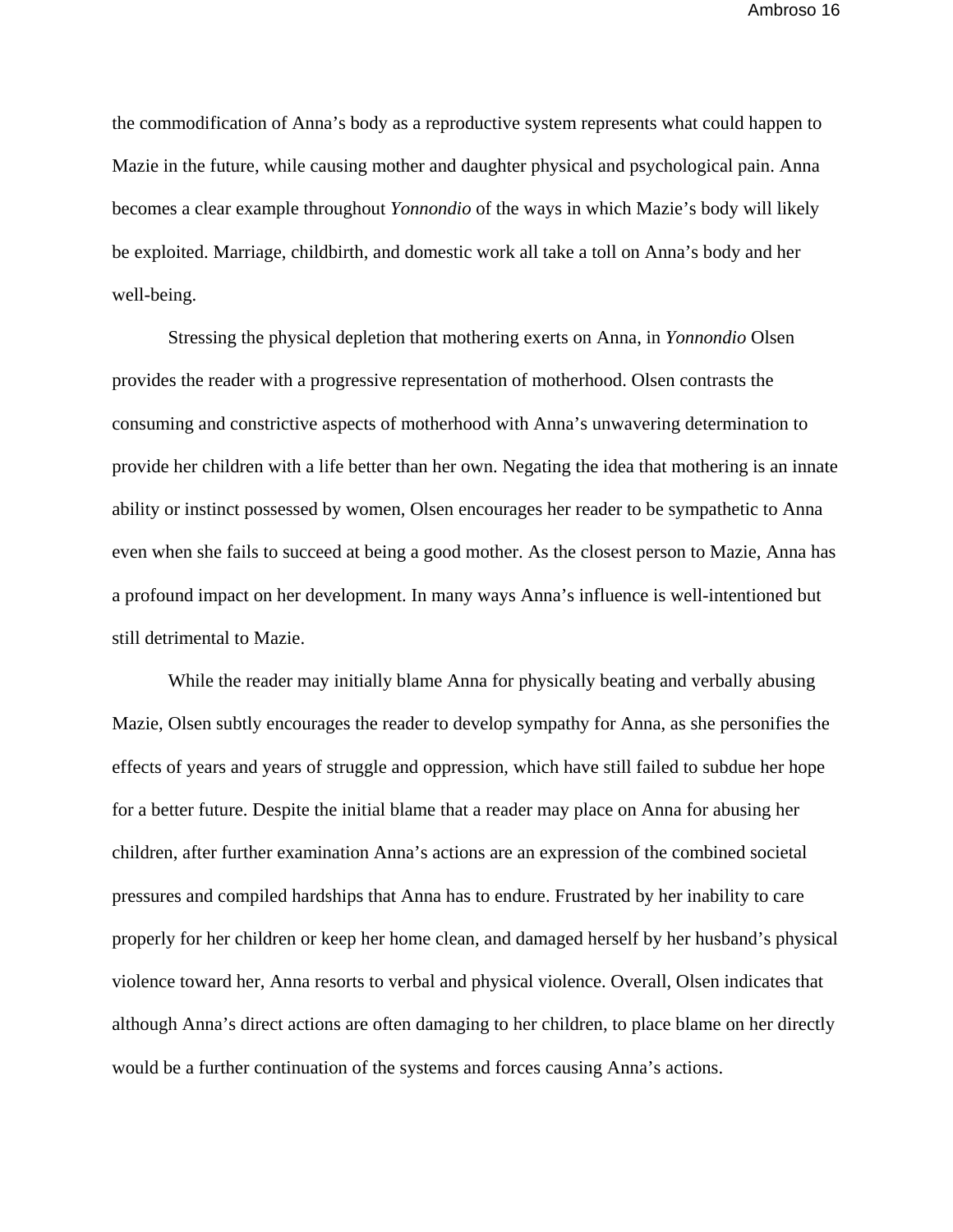the commodification of Anna's body as a reproductive system represents what could happen to Mazie in the future, while causing mother and daughter physical and psychological pain. Anna becomes a clear example throughout *Yonnondio* of the ways in which Mazie's body will likely be exploited. Marriage, childbirth, and domestic work all take a toll on Anna's body and her well-being.

 Stressing the physical depletion that mothering exerts on Anna, in *Yonnondio* Olsen provides the reader with a progressive representation of motherhood. Olsen contrasts the consuming and constrictive aspects of motherhood with Anna's unwavering determination to provide her children with a life better than her own. Negating the idea that mothering is an innate ability or instinct possessed by women, Olsen encourages her reader to be sympathetic to Anna even when she fails to succeed at being a good mother. As the closest person to Mazie, Anna has a profound impact on her development. In many ways Anna's influence is well-intentioned but still detrimental to Mazie.

 While the reader may initially blame Anna for physically beating and verbally abusing Mazie, Olsen subtly encourages the reader to develop sympathy for Anna, as she personifies the effects of years and years of struggle and oppression, which have still failed to subdue her hope for a better future. Despite the initial blame that a reader may place on Anna for abusing her children, after further examination Anna's actions are an expression of the combined societal pressures and compiled hardships that Anna has to endure. Frustrated by her inability to care properly for her children or keep her home clean, and damaged herself by her husband's physical violence toward her, Anna resorts to verbal and physical violence. Overall, Olsen indicates that although Anna's direct actions are often damaging to her children, to place blame on her directly would be a further continuation of the systems and forces causing Anna's actions.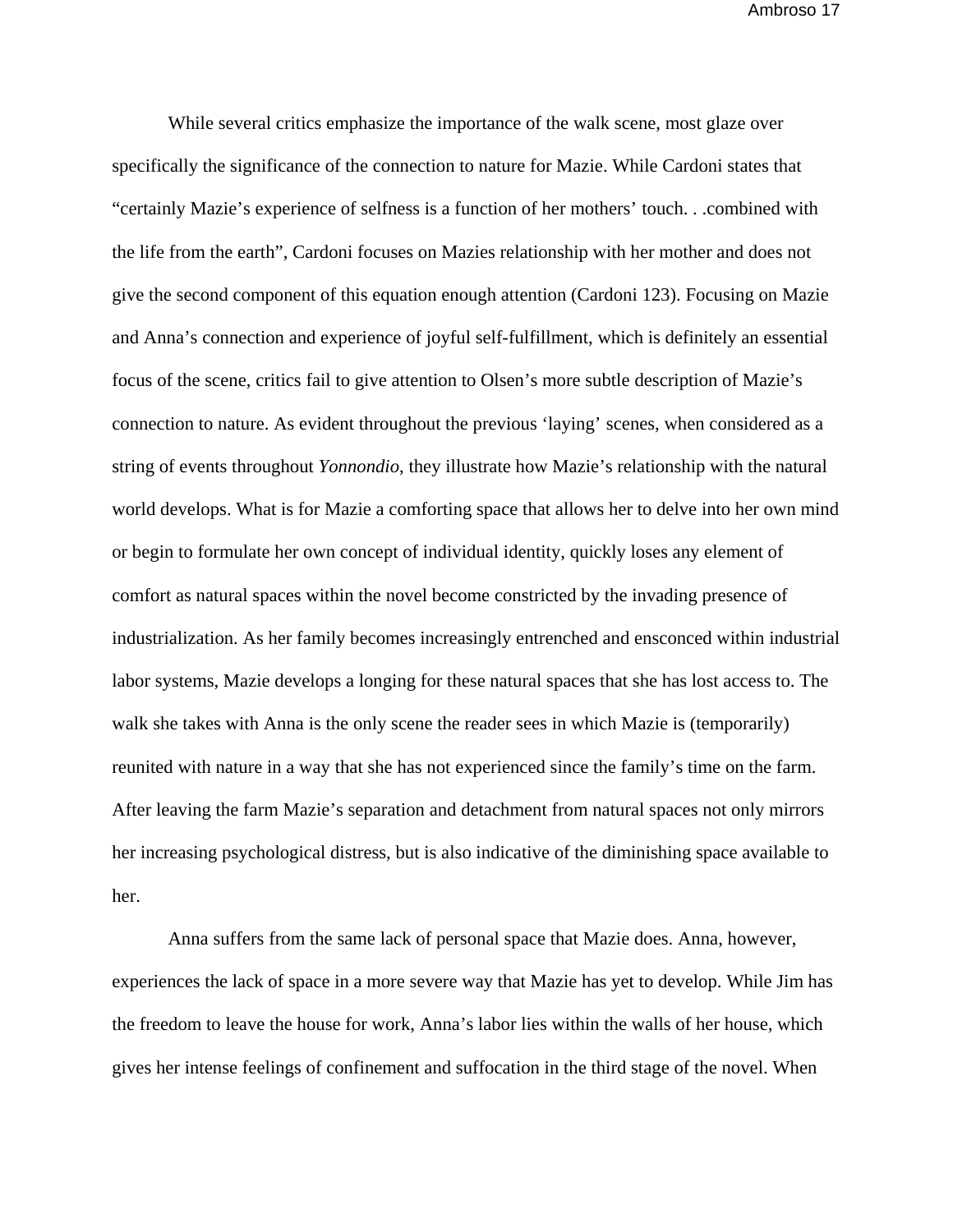While several critics emphasize the importance of the walk scene, most glaze over specifically the significance of the connection to nature for Mazie. While Cardoni states that "certainly Mazie's experience of selfness is a function of her mothers' touch. . .combined with the life from the earth", Cardoni focuses on Mazies relationship with her mother and does not give the second component of this equation enough attention (Cardoni 123). Focusing on Mazie and Anna's connection and experience of joyful self-fulfillment, which is definitely an essential focus of the scene, critics fail to give attention to Olsen's more subtle description of Mazie's connection to nature. As evident throughout the previous 'laying' scenes, when considered as a string of events throughout *Yonnondio*, they illustrate how Mazie's relationship with the natural world develops. What is for Mazie a comforting space that allows her to delve into her own mind or begin to formulate her own concept of individual identity, quickly loses any element of comfort as natural spaces within the novel become constricted by the invading presence of industrialization. As her family becomes increasingly entrenched and ensconced within industrial labor systems, Mazie develops a longing for these natural spaces that she has lost access to. The walk she takes with Anna is the only scene the reader sees in which Mazie is (temporarily) reunited with nature in a way that she has not experienced since the family's time on the farm. After leaving the farm Mazie's separation and detachment from natural spaces not only mirrors her increasing psychological distress, but is also indicative of the diminishing space available to her.

 Anna suffers from the same lack of personal space that Mazie does. Anna, however, experiences the lack of space in a more severe way that Mazie has yet to develop. While Jim has the freedom to leave the house for work, Anna's labor lies within the walls of her house, which gives her intense feelings of confinement and suffocation in the third stage of the novel. When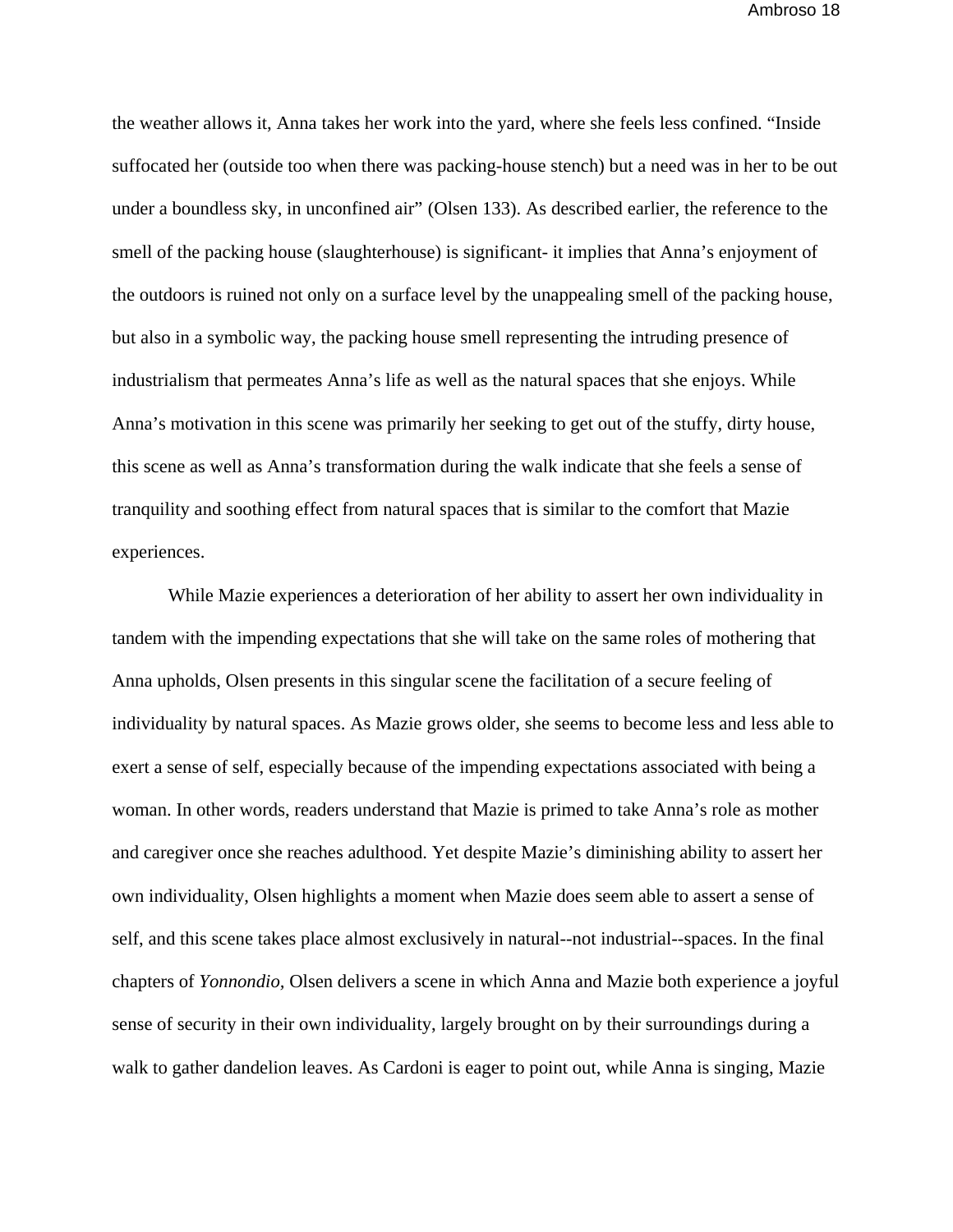the weather allows it, Anna takes her work into the yard, where she feels less confined. "Inside suffocated her (outside too when there was packing-house stench) but a need was in her to be out under a boundless sky, in unconfined air" (Olsen 133). As described earlier, the reference to the smell of the packing house (slaughterhouse) is significant- it implies that Anna's enjoyment of the outdoors is ruined not only on a surface level by the unappealing smell of the packing house, but also in a symbolic way, the packing house smell representing the intruding presence of industrialism that permeates Anna's life as well as the natural spaces that she enjoys. While Anna's motivation in this scene was primarily her seeking to get out of the stuffy, dirty house, this scene as well as Anna's transformation during the walk indicate that she feels a sense of tranquility and soothing effect from natural spaces that is similar to the comfort that Mazie experiences.

While Mazie experiences a deterioration of her ability to assert her own individuality in tandem with the impending expectations that she will take on the same roles of mothering that Anna upholds, Olsen presents in this singular scene the facilitation of a secure feeling of individuality by natural spaces. As Mazie grows older, she seems to become less and less able to exert a sense of self, especially because of the impending expectations associated with being a woman. In other words, readers understand that Mazie is primed to take Anna's role as mother and caregiver once she reaches adulthood. Yet despite Mazie's diminishing ability to assert her own individuality, Olsen highlights a moment when Mazie does seem able to assert a sense of self, and this scene takes place almost exclusively in natural--not industrial--spaces. In the final chapters of *Yonnondio,* Olsen delivers a scene in which Anna and Mazie both experience a joyful sense of security in their own individuality, largely brought on by their surroundings during a walk to gather dandelion leaves. As Cardoni is eager to point out, while Anna is singing, Mazie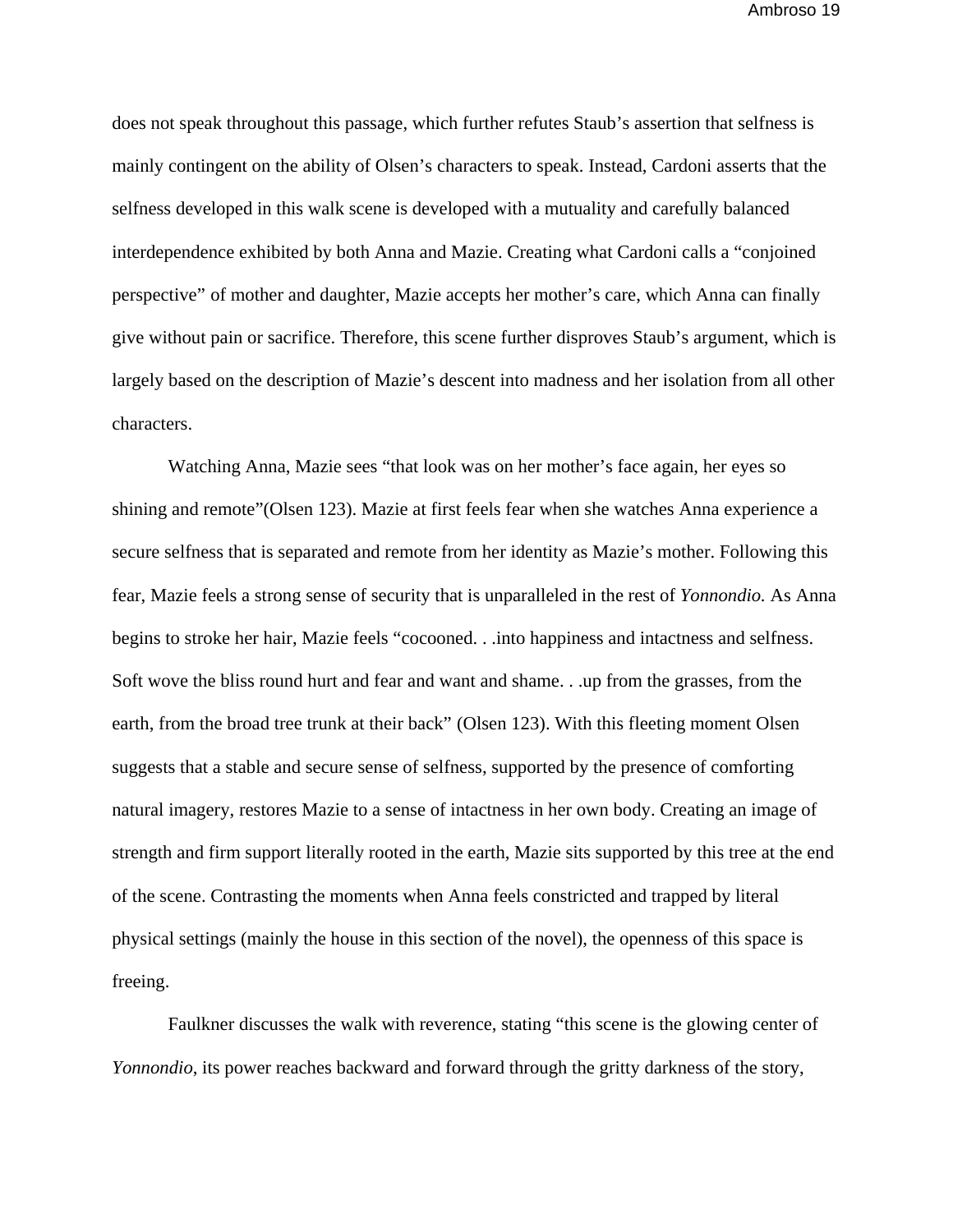does not speak throughout this passage, which further refutes Staub's assertion that selfness is mainly contingent on the ability of Olsen's characters to speak. Instead, Cardoni asserts that the selfness developed in this walk scene is developed with a mutuality and carefully balanced interdependence exhibited by both Anna and Mazie. Creating what Cardoni calls a "conjoined perspective" of mother and daughter, Mazie accepts her mother's care, which Anna can finally give without pain or sacrifice. Therefore, this scene further disproves Staub's argument, which is largely based on the description of Mazie's descent into madness and her isolation from all other characters.

Watching Anna, Mazie sees "that look was on her mother's face again, her eyes so shining and remote"(Olsen 123). Mazie at first feels fear when she watches Anna experience a secure selfness that is separated and remote from her identity as Mazie's mother. Following this fear, Mazie feels a strong sense of security that is unparalleled in the rest of *Yonnondio.* As Anna begins to stroke her hair, Mazie feels "cocooned. . .into happiness and intactness and selfness. Soft wove the bliss round hurt and fear and want and shame. . .up from the grasses, from the earth, from the broad tree trunk at their back" (Olsen 123). With this fleeting moment Olsen suggests that a stable and secure sense of selfness, supported by the presence of comforting natural imagery, restores Mazie to a sense of intactness in her own body. Creating an image of strength and firm support literally rooted in the earth, Mazie sits supported by this tree at the end of the scene. Contrasting the moments when Anna feels constricted and trapped by literal physical settings (mainly the house in this section of the novel), the openness of this space is freeing.

Faulkner discusses the walk with reverence, stating "this scene is the glowing center of *Yonnondio*, its power reaches backward and forward through the gritty darkness of the story,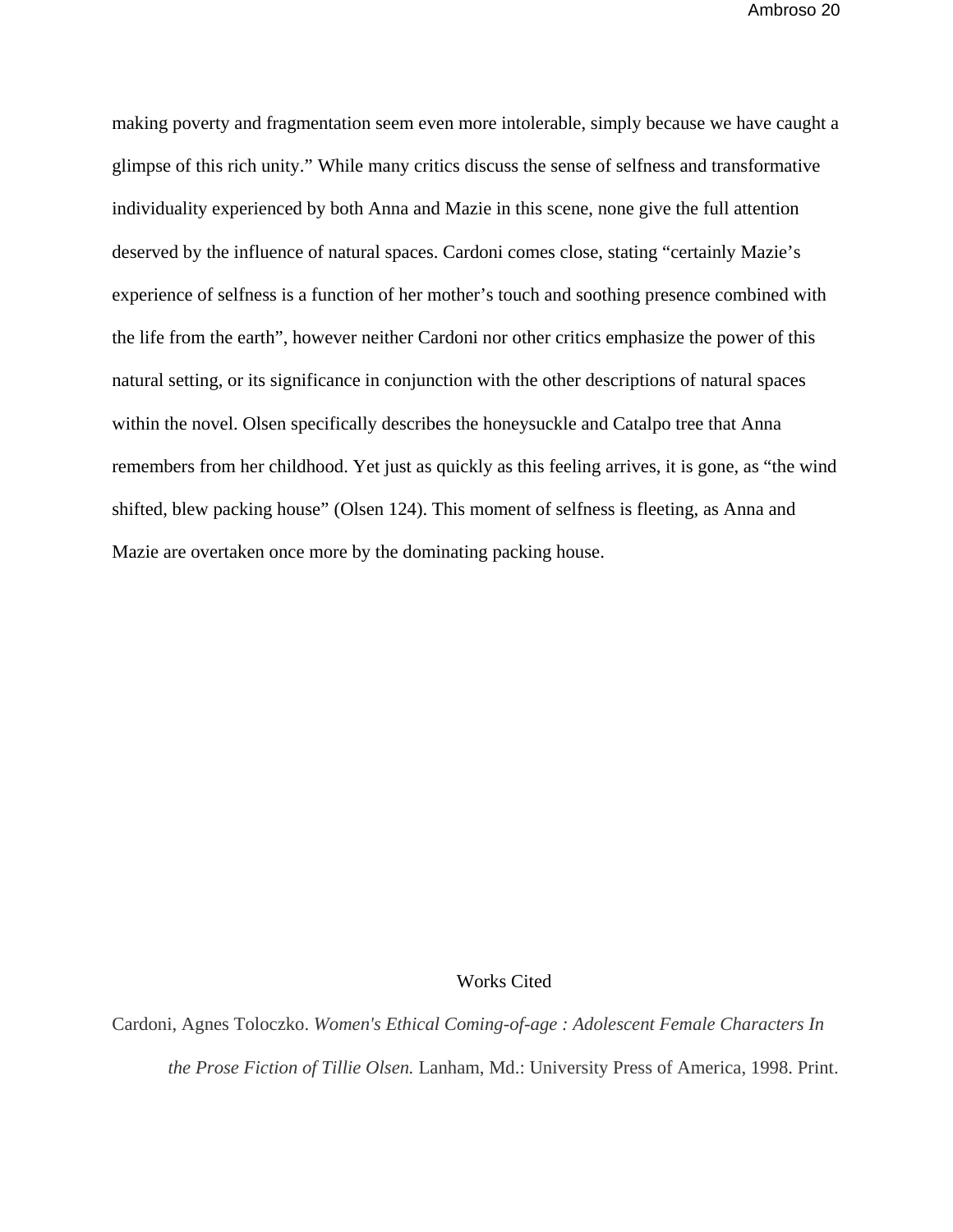making poverty and fragmentation seem even more intolerable, simply because we have caught a glimpse of this rich unity." While many critics discuss the sense of selfness and transformative individuality experienced by both Anna and Mazie in this scene, none give the full attention deserved by the influence of natural spaces. Cardoni comes close, stating "certainly Mazie's experience of selfness is a function of her mother's touch and soothing presence combined with the life from the earth", however neither Cardoni nor other critics emphasize the power of this natural setting, or its significance in conjunction with the other descriptions of natural spaces within the novel. Olsen specifically describes the honeysuckle and Catalpo tree that Anna remembers from her childhood. Yet just as quickly as this feeling arrives, it is gone, as "the wind shifted, blew packing house" (Olsen 124). This moment of selfness is fleeting, as Anna and Mazie are overtaken once more by the dominating packing house.

## Works Cited

Cardoni, Agnes Toloczko. *Women's Ethical Coming-of-age : Adolescent Female Characters In the Prose Fiction of Tillie Olsen.* Lanham, Md.: University Press of America, 1998. Print.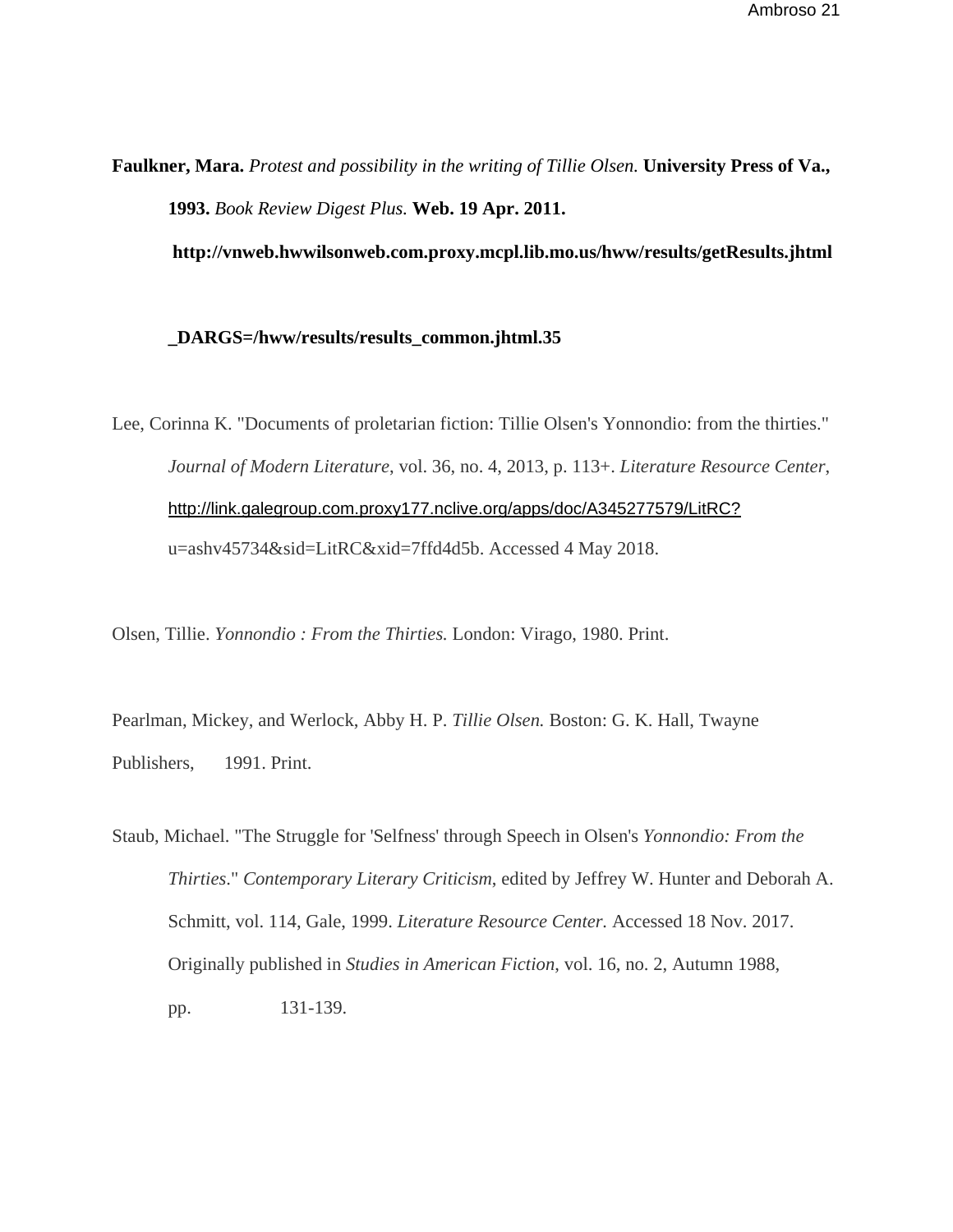**Faulkner, Mara.** *Protest and possibility in the writing of Tillie Olsen.* **University Press of Va., 1993.** *Book Review Digest Plus.* **Web. 19 Apr. 2011.** 

 **http://vnweb.hwwilsonweb.com.proxy.mcpl.lib.mo.us/hww/results/getResults.jhtml** 

## **\_DARGS=/hww/results/results\_common.jhtml.35**

Lee, Corinna K. "Documents of proletarian fiction: Tillie Olsen's Yonnondio: from the thirties." *Journal of Modern Literature*, vol. 36, no. 4, 2013, p. 113+. *Literature Resource Center*, http://link.galegroup.com.proxy177.nclive.org/apps/doc/A345277579/LitRC? u=ashv45734&sid=LitRC&xid=7ffd4d5b. Accessed 4 May 2018.

Olsen, Tillie. *Yonnondio : From the Thirties.* London: Virago, 1980. Print.

Pearlman, Mickey, and Werlock, Abby H. P. *Tillie Olsen.* Boston: G. K. Hall, Twayne Publishers, 1991. Print.

Staub, Michael. "The Struggle for 'Selfness' through Speech in Olsen's *Yonnondio: From the Thirties*." *Contemporary Literary Criticism*, edited by Jeffrey W. Hunter and Deborah A. Schmitt, vol. 114, Gale, 1999. *Literature Resource Center.* Accessed 18 Nov. 2017. Originally published in *Studies in American Fiction*, vol. 16, no. 2, Autumn 1988, pp. 131-139.